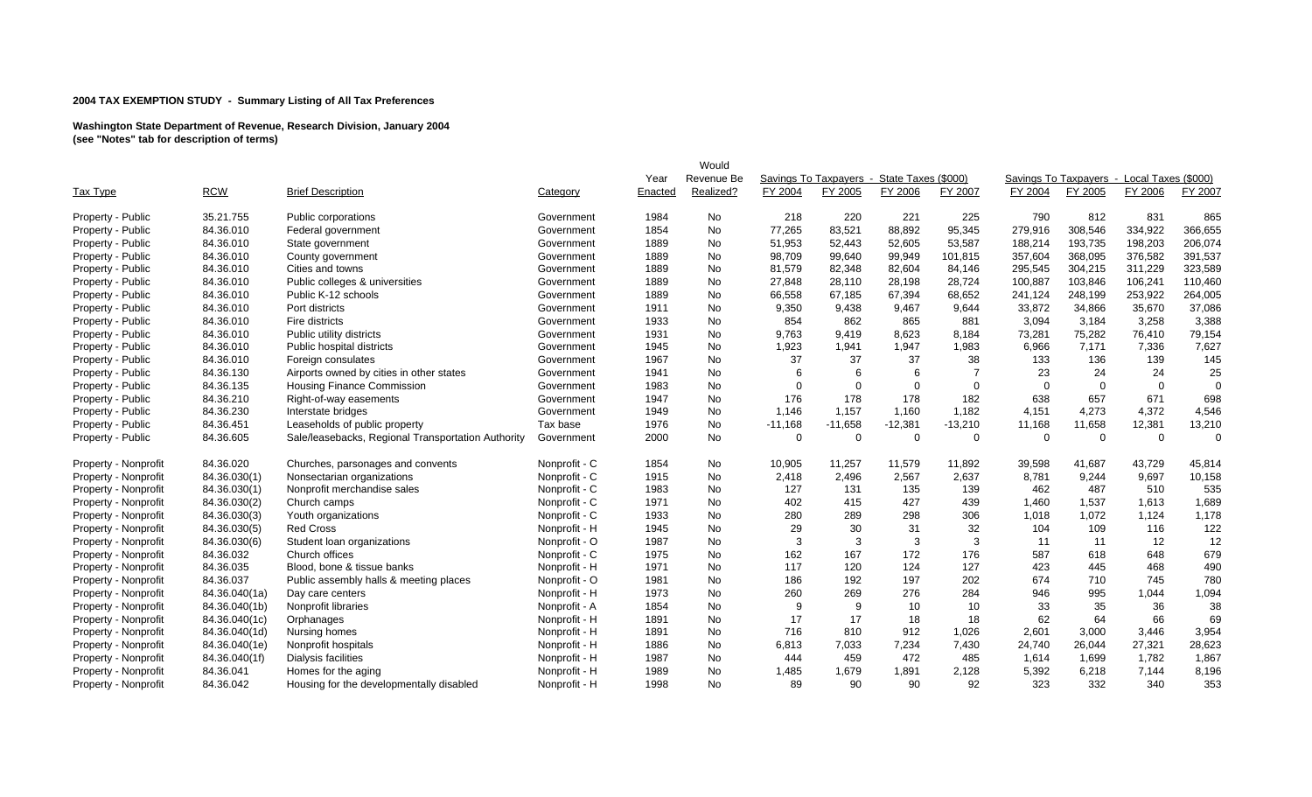|                      |               |                                                    |               |         | Would      |           |           |                                            |             |          |                                            |                |          |
|----------------------|---------------|----------------------------------------------------|---------------|---------|------------|-----------|-----------|--------------------------------------------|-------------|----------|--------------------------------------------|----------------|----------|
|                      |               |                                                    |               | Year    | Revenue Be |           |           | Savings To Taxpayers - State Taxes (\$000) |             |          | Savings To Taxpayers - Local Taxes (\$000) |                |          |
| <b>Tax Type</b>      | <b>RCW</b>    | <b>Brief Description</b>                           | Category      | Enacted | Realized?  | FY 2004   | FY 2005   | FY 2006                                    | FY 2007     | FY 2004  | FY 2005                                    | FY 2006        | FY 2007  |
| Property - Public    | 35.21.755     | Public corporations                                | Government    | 1984    | No         | 218       | 220       | 221                                        | 225         | 790      | 812                                        | 831            | 865      |
| Property - Public    | 84.36.010     | Federal government                                 | Government    | 1854    | No         | 77,265    | 83,521    | 88,892                                     | 95,345      | 279,916  | 308,546                                    | 334,922        | 366,655  |
| Property - Public    | 84.36.010     | State government                                   | Government    | 1889    | No         | 51,953    | 52,443    | 52,605                                     | 53,587      | 188,214  | 193,735                                    | 198,203        | 206,074  |
| Property - Public    | 84.36.010     | County government                                  | Government    | 1889    | No         | 98,709    | 99,640    | 99,949                                     | 101,815     | 357,604  | 368,095                                    | 376,582        | 391,537  |
| Property - Public    | 84.36.010     | Cities and towns                                   | Government    | 1889    | No         | 81,579    | 82,348    | 82,604                                     | 84,146      | 295,545  | 304,215                                    | 311,229        | 323,589  |
| Property - Public    | 84.36.010     | Public colleges & universities                     | Government    | 1889    | No         | 27,848    | 28,110    | 28,198                                     | 28,724      | 100,887  | 103,846                                    | 106,241        | 110,460  |
| Property - Public    | 84.36.010     | Public K-12 schools                                | Government    | 1889    | No         | 66,558    | 67,185    | 67,394                                     | 68,652      | 241,124  | 248,199                                    | 253,922        | 264,005  |
| Property - Public    | 84.36.010     | Port districts                                     | Government    | 1911    | No         | 9,350     | 9,438     | 9,467                                      | 9,644       | 33,872   | 34,866                                     | 35,670         | 37,086   |
| Property - Public    | 84.36.010     | Fire districts                                     | Government    | 1933    | No         | 854       | 862       | 865                                        | 881         | 3,094    | 3,184                                      | 3,258          | 3,388    |
| Property - Public    | 84.36.010     | Public utility districts                           | Government    | 1931    | No         | 9.763     | 9,419     | 8,623                                      | 8,184       | 73,281   | 75,282                                     | 76,410         | 79,154   |
| Property - Public    | 84.36.010     | Public hospital districts                          | Government    | 1945    | No         | 1,923     | 1,941     | 1,947                                      | 1,983       | 6,966    | 7,171                                      | 7,336          | 7,627    |
| Property - Public    | 84.36.010     | Foreign consulates                                 | Government    | 1967    | No         | 37        | 37        | 37                                         | 38          | 133      | 136                                        | 139            | 145      |
| Property - Public    | 84.36.130     | Airports owned by cities in other states           | Government    | 1941    | No         | 6         | 6         | 6                                          | -7          | 23       | 24                                         | 24             | 25       |
| Property - Public    | 84.36.135     | <b>Housing Finance Commission</b>                  | Government    | 1983    | No         | $\Omega$  | $\Omega$  | $\Omega$                                   | $\mathbf 0$ | $\Omega$ | $\Omega$                                   | $\overline{0}$ | $\Omega$ |
| Property - Public    | 84.36.210     | Right-of-way easements                             | Government    | 1947    | No         | 176       | 178       | 178                                        | 182         | 638      | 657                                        | 671            | 698      |
| Property - Public    | 84.36.230     | Interstate bridges                                 | Government    | 1949    | No         | 1,146     | 1,157     | 1,160                                      | 1,182       | 4,151    | 4,273                                      | 4,372          | 4,546    |
| Property - Public    | 84.36.451     | Leaseholds of public property                      | Tax base      | 1976    | No         | $-11,168$ | $-11,658$ | $-12,381$                                  | $-13,210$   | 11,168   | 11,658                                     | 12,381         | 13,210   |
| Property - Public    | 84.36.605     | Sale/leasebacks, Regional Transportation Authority | Government    | 2000    | No         | 0         | $\Omega$  | $\mathbf 0$                                | $\Omega$    | $\Omega$ | $\mathbf 0$                                | $\overline{0}$ | $\Omega$ |
| Property - Nonprofit | 84.36.020     | Churches, parsonages and convents                  | Nonprofit - C | 1854    | No         | 10,905    | 11,257    | 11,579                                     | 11.892      | 39,598   | 41,687                                     | 43,729         | 45,814   |
| Property - Nonprofit | 84.36.030(1)  | Nonsectarian organizations                         | Nonprofit - C | 1915    | No         | 2,418     | 2,496     | 2,567                                      | 2,637       | 8,781    | 9,244                                      | 9,697          | 10,158   |
| Property - Nonprofit | 84.36.030(1)  | Nonprofit merchandise sales                        | Nonprofit - C | 1983    | No         | 127       | 131       | 135                                        | 139         | 462      | 487                                        | 510            | 535      |
| Property - Nonprofit | 84.36.030(2)  | Church camps                                       | Nonprofit - C | 1971    | <b>No</b>  | 402       | 415       | 427                                        | 439         | 1,460    | 1,537                                      | 1,613          | 1,689    |
| Property - Nonprofit | 84.36.030(3)  | Youth organizations                                | Nonprofit - C | 1933    | No         | 280       | 289       | 298                                        | 306         | 1,018    | 1,072                                      | 1,124          | 1,178    |
| Property - Nonprofit | 84.36.030(5)  | <b>Red Cross</b>                                   | Nonprofit - H | 1945    | No         | 29        | 30        | 31                                         | 32          | 104      | 109                                        | 116            | 122      |
| Property - Nonprofit | 84.36.030(6)  | Student loan organizations                         | Nonprofit - O | 1987    | No         | 3         | 3         | 3                                          | 3           | 11       | 11                                         | 12             | 12       |
| Property - Nonprofit | 84.36.032     | Church offices                                     | Nonprofit - C | 1975    | No         | 162       | 167       | 172                                        | 176         | 587      | 618                                        | 648            | 679      |
| Property - Nonprofit | 84.36.035     | Blood, bone & tissue banks                         | Nonprofit - H | 1971    | No         | 117       | 120       | 124                                        | 127         | 423      | 445                                        | 468            | 490      |
| Property - Nonprofit | 84.36.037     | Public assembly halls & meeting places             | Nonprofit - O | 1981    | <b>No</b>  | 186       | 192       | 197                                        | 202         | 674      | 710                                        | 745            | 780      |
| Property - Nonprofit | 84.36.040(1a) | Day care centers                                   | Nonprofit - H | 1973    | No         | 260       | 269       | 276                                        | 284         | 946      | 995                                        | 1,044          | 1,094    |
| Property - Nonprofit | 84.36.040(1b) | Nonprofit libraries                                | Nonprofit - A | 1854    | No         | 9         | 9         | 10                                         | 10          | 33       | 35                                         | 36             | 38       |
| Property - Nonprofit | 84.36.040(1c) | Orphanages                                         | Nonprofit - H | 1891    | No         | 17        | 17        | 18                                         | 18          | 62       | 64                                         | 66             | 69       |
| Property - Nonprofit | 84.36.040(1d) | Nursing homes                                      | Nonprofit - H | 1891    | No         | 716       | 810       | 912                                        | 1,026       | 2,601    | 3,000                                      | 3,446          | 3,954    |
| Property - Nonprofit | 84.36.040(1e) | Nonprofit hospitals                                | Nonprofit - H | 1886    | No         | 6,813     | 7,033     | 7,234                                      | 7,430       | 24,740   | 26,044                                     | 27,321         | 28,623   |
| Property - Nonprofit | 84.36.040(1f) | Dialysis facilities                                | Nonprofit - H | 1987    | No         | 444       | 459       | 472                                        | 485         | 1,614    | 1,699                                      | 1,782          | 1,867    |
| Property - Nonprofit | 84.36.041     | Homes for the aging                                | Nonprofit - H | 1989    | No         | 1,485     | 1,679     | 1,891                                      | 2,128       | 5,392    | 6,218                                      | 7,144          | 8,196    |
| Property - Nonprofit | 84.36.042     | Housing for the developmentally disabled           | Nonprofit - H | 1998    | <b>No</b>  | 89        | 90        | 90                                         | 92          | 323      | 332                                        | 340            | 353      |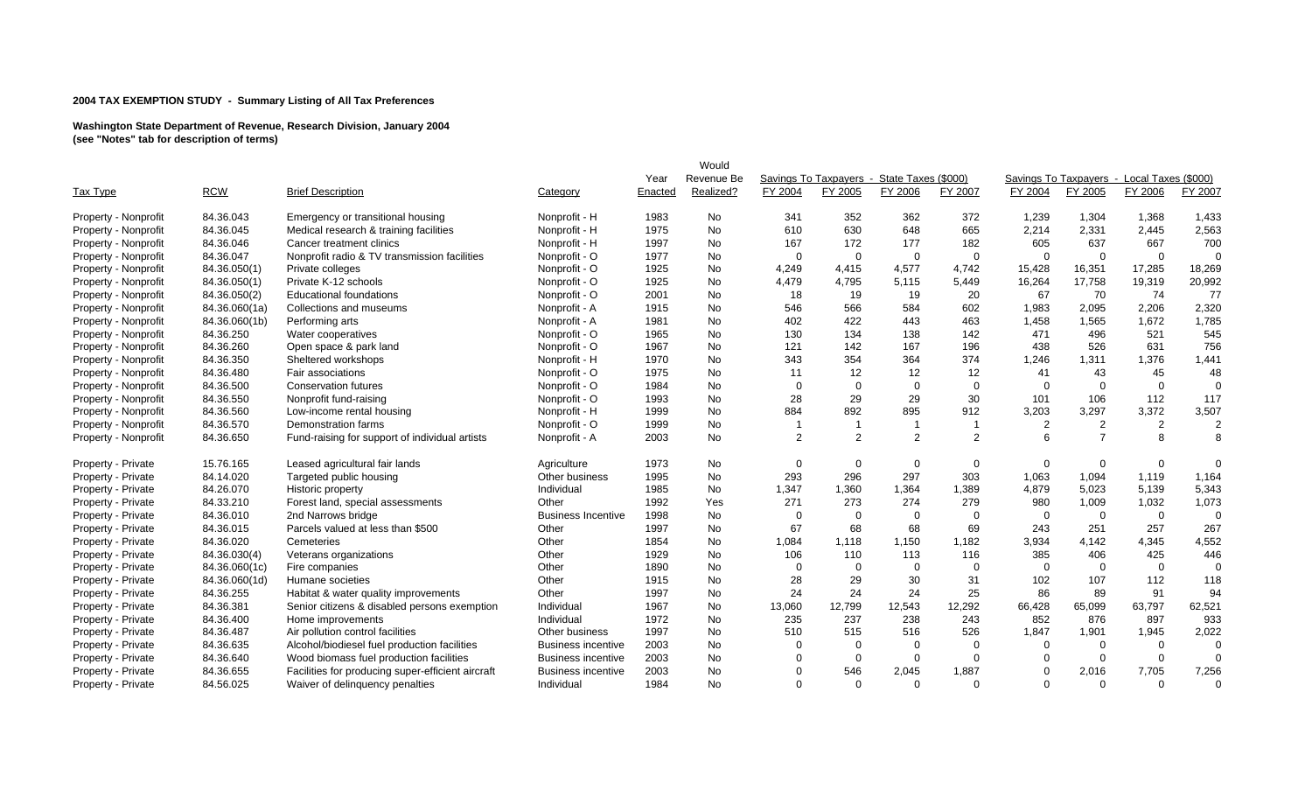|                      |               |                                                   |                           |         | Would          |                |                                            |          |                |                |                                            |                |          |
|----------------------|---------------|---------------------------------------------------|---------------------------|---------|----------------|----------------|--------------------------------------------|----------|----------------|----------------|--------------------------------------------|----------------|----------|
|                      |               |                                                   |                           | Year    | Revenue Be     |                | Savings To Taxpayers - State Taxes (\$000) |          |                |                | Savings To Taxpayers - Local Taxes (\$000) |                |          |
| <b>Tax Type</b>      | <b>RCW</b>    | <b>Brief Description</b>                          | Category                  | Enacted | Realized?      | FY 2004        | FY 2005                                    | FY 2006  | FY 2007        | FY 2004        | FY 2005                                    | FY 2006        | FY 2007  |
| Property - Nonprofit | 84.36.043     | Emergency or transitional housing                 | Nonprofit - H             | 1983    | <b>No</b>      | 341            | 352                                        | 362      | 372            | 1,239          | 1,304                                      | 1,368          | 1,433    |
| Property - Nonprofit | 84.36.045     | Medical research & training facilities            | Nonprofit - H             | 1975    | <b>No</b>      | 610            | 630                                        | 648      | 665            | 2,214          | 2,331                                      | 2,445          | 2,563    |
| Property - Nonprofit | 84.36.046     | Cancer treatment clinics                          | Nonprofit - H             | 1997    | No             | 167            | 172                                        | 177      | 182            | 605            | 637                                        | 667            | 700      |
| Property - Nonprofit | 84.36.047     | Nonprofit radio & TV transmission facilities      | Nonprofit - O             | 1977    | No             | $\Omega$       | $\Omega$                                   | $\Omega$ | 0              | $\Omega$       | $\Omega$                                   | $\overline{0}$ | $\Omega$ |
| Property - Nonprofit | 84.36.050(1)  | Private colleges                                  | Nonprofit - O             | 1925    | <b>No</b>      | 4,249          | 4,415                                      | 4,577    | 4,742          | 15,428         | 16,351                                     | 17,285         | 18,269   |
| Property - Nonprofit | 84.36.050(1)  | Private K-12 schools                              | Nonprofit - O             | 1925    | <b>No</b>      | 4,479          | 4,795                                      | 5,115    | 5,449          | 16,264         | 17,758                                     | 19,319         | 20,992   |
| Property - Nonprofit | 84.36.050(2)  | <b>Educational foundations</b>                    | Nonprofit - O             | 2001    | <b>No</b>      | 18             | 19                                         | 19       | 20             | 67             | 70                                         | 74             | 77       |
| Property - Nonprofit | 84.36.060(1a) | Collections and museums                           | Nonprofit - A             | 1915    | No             | 546            | 566                                        | 584      | 602            | 1,983          | 2,095                                      | 2,206          | 2,320    |
| Property - Nonprofit | 84.36.060(1b) | Performing arts                                   | Nonprofit - A             | 1981    | No             | 402            | 422                                        | 443      | 463            | 1,458          | 1,565                                      | 1,672          | 1,785    |
| Property - Nonprofit | 84.36.250     | Water cooperatives                                | Nonprofit - O             | 1965    | <b>No</b>      | 130            | 134                                        | 138      | 142            | 471            | 496                                        | 521            | 545      |
| Property - Nonprofit | 84.36.260     | Open space & park land                            | Nonprofit - O             | 1967    | <b>No</b>      | 121            | 142                                        | 167      | 196            | 438            | 526                                        | 631            | 756      |
| Property - Nonprofit | 84.36.350     | Sheltered workshops                               | Nonprofit - H             | 1970    | <b>No</b>      | 343            | 354                                        | 364      | 374            | 1,246          | 1,311                                      | 1,376          | 1,441    |
| Property - Nonprofit | 84.36.480     | Fair associations                                 | Nonprofit - O             | 1975    | <b>No</b>      | 11             | 12                                         | 12       | 12             | 41             | 43                                         | 45             | 48       |
| Property - Nonprofit | 84.36.500     | <b>Conservation futures</b>                       | Nonprofit - O             | 1984    | <b>No</b>      | $\overline{0}$ | $\Omega$                                   | $\Omega$ | $\mathbf 0$    | $\overline{0}$ | $\Omega$                                   | $\mathbf 0$    | $\Omega$ |
| Property - Nonprofit | 84.36.550     | Nonprofit fund-raising                            | Nonprofit - O             | 1993    | No             | 28             | 29                                         | 29       | 30             | 101            | 106                                        | 112            | 117      |
| Property - Nonprofit | 84.36.560     | Low-income rental housing                         | Nonprofit - H             | 1999    | <b>No</b>      | 884            | 892                                        | 895      | 912            | 3,203          | 3,297                                      | 3,372          | 3,507    |
| Property - Nonprofit | 84.36.570     | Demonstration farms                               | Nonprofit - O             | 1999    | <b>No</b>      |                |                                            |          |                | 2              | $\overline{2}$                             | $\overline{2}$ |          |
| Property - Nonprofit | 84.36.650     | Fund-raising for support of individual artists    | Nonprofit - A             | 2003    | <b>No</b>      | $\overline{2}$ | $\overline{2}$                             | 2        | 2              | 6              | $\overline{7}$                             | 8              | 8        |
| Property - Private   | 15.76.165     | Leased agricultural fair lands                    | Agriculture               | 1973    | No             | 0              | 0                                          | $\Omega$ | 0              | 0              | $\mathbf 0$                                | $\mathbf 0$    | $\Omega$ |
| Property - Private   | 84.14.020     | Targeted public housing                           | Other business            | 1995    | No             | 293            | 296                                        | 297      | 303            | 1,063          | 1,094                                      | 1,119          | 1,164    |
| Property - Private   | 84.26.070     | Historic property                                 | Individual                | 1985    | No             | 1,347          | 1,360                                      | 1,364    | 1,389          | 4,879          | 5,023                                      | 5,139          | 5,343    |
| Property - Private   | 84.33.210     | Forest land, special assessments                  | Other                     | 1992    | Yes            | 271            | 273                                        | 274      | 279            | 980            | 1,009                                      | 1,032          | 1,073    |
| Property - Private   | 84.36.010     | 2nd Narrows bridge                                | <b>Business Incentive</b> | 1998    | <b>No</b>      | 0              | $\Omega$                                   | 0        | $\overline{0}$ | $\mathbf 0$    | $\mathbf 0$                                | $\mathbf 0$    | $\Omega$ |
| Property - Private   | 84.36.015     | Parcels valued at less than \$500                 | Other                     | 1997    | No             | 67             | 68                                         | 68       | 69             | 243            | 251                                        | 257            | 267      |
| Property - Private   | 84.36.020     | Cemeteries                                        | Other                     | 1854    | No             | 1,084          | 1,118                                      | 1,150    | 1,182          | 3,934          | 4,142                                      | 4,345          | 4,552    |
| Property - Private   | 84.36.030(4)  | Veterans organizations                            | Other                     | 1929    | <b>No</b>      | 106            | 110                                        | 113      | 116            | 385            | 406                                        | 425            | 446      |
| Property - Private   | 84.36.060(1c) | Fire companies                                    | Other                     | 1890    | <b>No</b>      | $\Omega$       | $\Omega$                                   | $\Omega$ | $\mathbf 0$    | $\Omega$       | $\Omega$                                   | $\Omega$       | $\Omega$ |
| Property - Private   | 84.36.060(1d) | Humane societies                                  | Other                     | 1915    | No             | 28             | 29                                         | 30       | 31             | 102            | 107                                        | 112            | 118      |
| Property - Private   | 84.36.255     | Habitat & water quality improvements              | Other                     | 1997    | No             | 24             | 24                                         | 24       | 25             | 86             | 89                                         | 91             | 94       |
| Property - Private   | 84.36.381     | Senior citizens & disabled persons exemption      | Individual                | 1967    | No             | 13,060         | 12,799                                     | 12,543   | 12,292         | 66,428         | 65,099                                     | 63,797         | 62,521   |
| Property - Private   | 84.36.400     | Home improvements                                 | Individual                | 1972    | No             | 235            | 237                                        | 238      | 243            | 852            | 876                                        | 897            | 933      |
| Property - Private   | 84.36.487     | Air pollution control facilities                  | Other business            | 1997    | <b>No</b>      | 510            | 515                                        | 516      | 526            | 1.847          | 1,901                                      | 1.945          | 2,022    |
| Property - Private   | 84.36.635     | Alcohol/biodiesel fuel production facilities      | <b>Business incentive</b> | 2003    | <b>No</b>      | $\Omega$       | $\mathbf 0$                                | $\Omega$ | $\mathbf 0$    | $\Omega$       | $\Omega$                                   | $\mathbf 0$    | $\Omega$ |
| Property - Private   | 84.36.640     | Wood biomass fuel production facilities           | <b>Business incentive</b> | 2003    | No             | $\Omega$       | $\mathbf 0$                                | $\Omega$ | $\Omega$       | $\Omega$       | $\Omega$                                   | $\mathbf 0$    | $\Omega$ |
| Property - Private   | 84.36.655     | Facilities for producing super-efficient aircraft | <b>Business incentive</b> | 2003    | <b>No</b>      | $\Omega$       | 546                                        | 2,045    | 1,887          | $\Omega$       | 2,016                                      | 7,705          | 7,256    |
| Property - Private   | 84.56.025     | Waiver of delinquency penalties                   | Individual                | 1984    | N <sub>o</sub> | $\Omega$       | $\Omega$                                   | $\Omega$ | $\Omega$       | $\Omega$       | $\Omega$                                   | $\Omega$       | $\Omega$ |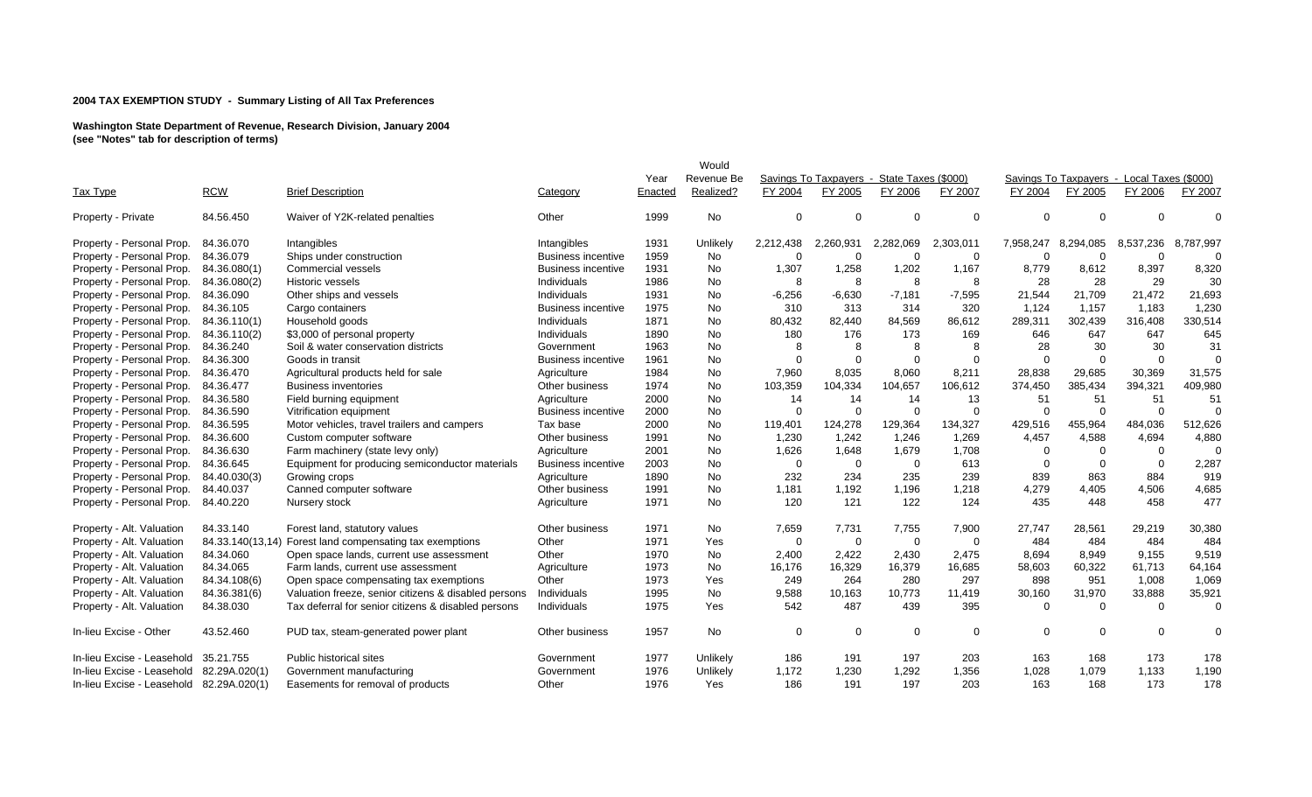|                            |               |                                                          |                           |         | Would      |             |                                            |             |             |           |                                            |                |           |
|----------------------------|---------------|----------------------------------------------------------|---------------------------|---------|------------|-------------|--------------------------------------------|-------------|-------------|-----------|--------------------------------------------|----------------|-----------|
|                            |               |                                                          |                           | Year    | Revenue Be |             | Savings To Taxpayers - State Taxes (\$000) |             |             |           | Savings To Taxpavers - Local Taxes (\$000) |                |           |
| Tax Type                   | <b>RCW</b>    | <b>Brief Description</b>                                 | Category                  | Enacted | Realized?  | FY 2004     | FY 2005                                    | FY 2006     | FY 2007     | FY 2004   | FY 2005                                    | FY 2006        | FY 2007   |
| Property - Private         | 84.56.450     | Waiver of Y2K-related penalties                          | Other                     | 1999    | No         | 0           | $\Omega$                                   | $\Omega$    | 0           | $\Omega$  | $\Omega$                                   | $\Omega$       | $\Omega$  |
| Property - Personal Prop.  | 84.36.070     | Intangibles                                              | Intangibles               | 1931    | Unlikely   | 2,212,438   | 2,260,931                                  | 2,282,069   | 2,303,011   | 7,958,247 | 8,294,085                                  | 8,537,236      | 8,787,997 |
| Property - Personal Prop.  | 84.36.079     | Ships under construction                                 | <b>Business incentive</b> | 1959    | No         | $\Omega$    | $\Omega$                                   | $\Omega$    | 0           | $\Omega$  | $\Omega$                                   | $\Omega$       | $\Omega$  |
| Property - Personal Prop.  | 84.36.080(1)  | <b>Commercial vessels</b>                                | <b>Business incentive</b> | 1931    | No         | 1,307       | 1,258                                      | 1,202       | 1,167       | 8,779     | 8,612                                      | 8,397          | 8,320     |
| Property - Personal Prop.  | 84.36.080(2)  | <b>Historic vessels</b>                                  | Individuals               | 1986    | <b>No</b>  | 8           | 8                                          | 8           | 8           | 28        | 28                                         | 29             | 30        |
| Property - Personal Prop.  | 84.36.090     | Other ships and vessels                                  | Individuals               | 1931    | No         | $-6,256$    | $-6,630$                                   | $-7,181$    | $-7,595$    | 21,544    | 21,709                                     | 21,472         | 21,693    |
| Property - Personal Prop.  | 84.36.105     | Cargo containers                                         | <b>Business incentive</b> | 1975    | No         | 310         | 313                                        | 314         | 320         | 1,124     | 1,157                                      | 1,183          | 1,230     |
| Property - Personal Prop.  | 84.36.110(1)  | Household goods                                          | Individuals               | 1871    | No         | 80,432      | 82,440                                     | 84,569      | 86,612      | 289,311   | 302,439                                    | 316,408        | 330,514   |
| Property - Personal Prop.  | 84.36.110(2)  | \$3,000 of personal property                             | Individuals               | 1890    | <b>No</b>  | 180         | 176                                        | 173         | 169         | 646       | 647                                        | 647            | 645       |
| Property - Personal Prop.  | 84.36.240     | Soil & water conservation districts                      | Government                | 1963    | No         | 8           | 8                                          | 8           | 8           | 28        | 30                                         | 30             | 31        |
| Property - Personal Prop.  | 84.36.300     | Goods in transit                                         | <b>Business incentive</b> | 1961    | No         | 0           | $\Omega$                                   | $\Omega$    | $\Omega$    | $\Omega$  | $\Omega$                                   | $\overline{0}$ | $\Omega$  |
| Property - Personal Prop.  | 84.36.470     | Agricultural products held for sale                      | Agriculture               | 1984    | No         | 7,960       | 8,035                                      | 8,060       | 8,211       | 28,838    | 29,685                                     | 30,369         | 31,575    |
| Property - Personal Prop.  | 84.36.477     | <b>Business inventories</b>                              | Other business            | 1974    | <b>No</b>  | 103,359     | 104,334                                    | 104,657     | 106,612     | 374,450   | 385,434                                    | 394,321        | 409,980   |
| Property - Personal Prop.  | 84.36.580     | Field burning equipment                                  | Agriculture               | 2000    | No         | 14          | 14                                         | 14          | 13          | 51        | 51                                         | 51             | 51        |
| Property - Personal Prop.  | 84.36.590     | Vitrification equipment                                  | <b>Business incentive</b> | 2000    | No         | $\Omega$    | $\Omega$                                   | $\Omega$    | $\mathbf 0$ | $\Omega$  | $\Omega$                                   | $\overline{0}$ | $\Omega$  |
| Property - Personal Prop.  | 84.36.595     | Motor vehicles, travel trailers and campers              | Tax base                  | 2000    | No         | 119,401     | 124,278                                    | 129,364     | 134,327     | 429,516   | 455,964                                    | 484,036        | 512,626   |
| Property - Personal Prop.  | 84.36.600     | Custom computer software                                 | Other business            | 1991    | No         | 1,230       | 1,242                                      | 1,246       | 1,269       | 4,457     | 4,588                                      | 4,694          | 4,880     |
| Property - Personal Prop.  | 84.36.630     | Farm machinery (state levy only)                         | Agriculture               | 2001    | No         | 1,626       | 1,648                                      | 1,679       | 1,708       | $\Omega$  | $\overline{0}$                             | $\overline{0}$ | $\Omega$  |
| Property - Personal Prop.  | 84.36.645     | Equipment for producing semiconductor materials          | <b>Business incentive</b> | 2003    | <b>No</b>  | $\mathbf 0$ | $\Omega$                                   | $\mathbf 0$ | 613         | $\Omega$  | $\Omega$                                   | $\overline{0}$ | 2,287     |
| Property - Personal Prop.  | 84.40.030(3)  | Growing crops                                            | Agriculture               | 1890    | No         | 232         | 234                                        | 235         | 239         | 839       | 863                                        | 884            | 919       |
| Property - Personal Prop.  | 84.40.037     | Canned computer software                                 | Other business            | 1991    | No         | 1,181       | 1,192                                      | 1,196       | 1,218       | 4,279     | 4,405                                      | 4,506          | 4,685     |
| Property - Personal Prop.  | 84.40.220     | Nursery stock                                            | Agriculture               | 1971    | <b>No</b>  | 120         | 121                                        | 122         | 124         | 435       | 448                                        | 458            | 477       |
| Property - Alt. Valuation  | 84.33.140     | Forest land, statutory values                            | Other business            | 1971    | No         | 7,659       | 7,731                                      | 7,755       | 7,900       | 27,747    | 28,561                                     | 29,219         | 30,380    |
| Property - Alt. Valuation  |               | 84.33.140(13,14) Forest land compensating tax exemptions | Other                     | 1971    | Yes        | 0           | $\Omega$                                   | $\mathbf 0$ | $\Omega$    | 484       | 484                                        | 484            | 484       |
| Property - Alt. Valuation  | 84.34.060     | Open space lands, current use assessment                 | Other                     | 1970    | No         | 2,400       | 2,422                                      | 2,430       | 2,475       | 8,694     | 8,949                                      | 9,155          | 9,519     |
| Property - Alt. Valuation  | 84.34.065     | Farm lands, current use assessment                       | Agriculture               | 1973    | No.        | 16,176      | 16,329                                     | 16,379      | 16,685      | 58,603    | 60,322                                     | 61,713         | 64,164    |
| Property - Alt. Valuation  | 84.34.108(6)  | Open space compensating tax exemptions                   | Other                     | 1973    | Yes        | 249         | 264                                        | 280         | 297         | 898       | 951                                        | 1,008          | 1,069     |
| Property - Alt. Valuation  | 84.36.381(6)  | Valuation freeze, senior citizens & disabled persons     | Individuals               | 1995    | No         | 9,588       | 10,163                                     | 10,773      | 11,419      | 30,160    | 31,970                                     | 33,888         | 35,921    |
| Property - Alt. Valuation  | 84.38.030     | Tax deferral for senior citizens & disabled persons      | Individuals               | 1975    | Yes        | 542         | 487                                        | 439         | 395         | $\Omega$  | $\Omega$                                   | $\Omega$       | $\Omega$  |
| In-lieu Excise - Other     | 43.52.460     | PUD tax, steam-generated power plant                     | Other business            | 1957    | No         | 0           | $\Omega$                                   | $\mathbf 0$ | $\Omega$    | $\Omega$  | $\Omega$                                   | $\Omega$       | $\Omega$  |
| In-lieu Excise - Leasehold | 35.21.755     | Public historical sites                                  | Government                | 1977    | Unlikely   | 186         | 191                                        | 197         | 203         | 163       | 168                                        | 173            | 178       |
| In-lieu Excise - Leasehold | 82.29A.020(1) | Government manufacturing                                 | Government                | 1976    | Unlikely   | 1,172       | 1,230                                      | 1,292       | 1,356       | 1,028     | 1,079                                      | 1,133          | 1,190     |
| In-lieu Excise - Leasehold | 82.29A.020(1) | Easements for removal of products                        | Other                     | 1976    | Yes        | 186         | 191                                        | 197         | 203         | 163       | 168                                        | 173            | 178       |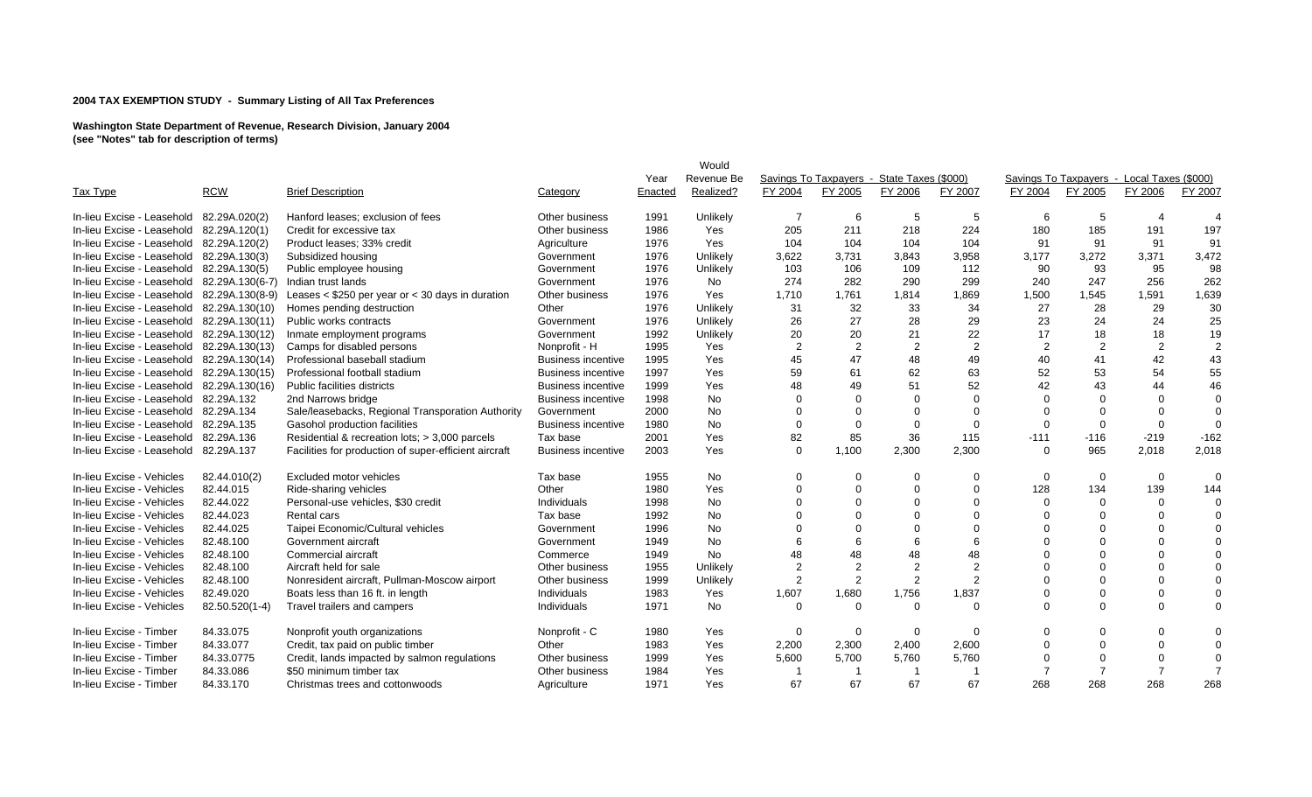|                            |                        |                                                       |                           |         | Would      |                |                                            |                |                      |                |                                            |                |                |
|----------------------------|------------------------|-------------------------------------------------------|---------------------------|---------|------------|----------------|--------------------------------------------|----------------|----------------------|----------------|--------------------------------------------|----------------|----------------|
|                            |                        |                                                       |                           | Year    | Revenue Be |                | Savings To Taxpavers - State Taxes (\$000) |                |                      |                | Savings To Taxpavers - Local Taxes (\$000) |                |                |
| Tax Type                   | <b>RCW</b>             | <b>Brief Description</b>                              | Category                  | Enacted | Realized?  | FY 2004        | FY 2005                                    | FY 2006        | FY 2007              | FY 2004        | FY 2005                                    | FY 2006        | FY 2007        |
|                            |                        |                                                       |                           |         |            |                |                                            |                |                      |                |                                            |                |                |
| In-lieu Excise - Leasehold | 82.29A.020(2)          | Hanford leases; exclusion of fees                     | Other business            | 1991    | Unlikely   | -7             | 6                                          | 5              | 5                    | 6              | 5                                          |                |                |
| In-lieu Excise - Leasehold | 82.29A.120(1)          | Credit for excessive tax                              | Other business            | 1986    | Yes        | 205            | 211                                        | 218            | 224                  | 180            | 185                                        | 191            | 197            |
| In-lieu Excise - Leasehold | 82.29A.120(2)          | Product leases; 33% credit                            | Agriculture               | 1976    | Yes        | 104            | 104                                        | 104            | 104                  | 91             | 91                                         | 91             | 91             |
| In-lieu Excise - Leasehold | 82.29A.130(3)          | Subsidized housing                                    | Government                | 1976    | Unlikely   | 3,622          | 3,731                                      | 3,843          | 3,958                | 3,177          | 3,272                                      | 3,371          | 3,472          |
| In-lieu Excise - Leasehold | 82.29A.130(5)          | Public employee housing                               | Government                | 1976    | Unlikely   | 103            | 106                                        | 109            | 112                  | 90             | 93                                         | 95             | 98             |
| In-lieu Excise - Leasehold | 82.29A.130(6-7)        | Indian trust lands                                    | Government                | 1976    | No         | 274            | 282                                        | 290            | 299                  | 240            | 247                                        | 256            | 262            |
| In-lieu Excise - Leasehold | 82.29A.130(8-9)        | Leases $<$ \$250 per year or $<$ 30 days in duration  | Other business            | 1976    | Yes        | 1,710          | 1,761                                      | 1,814          | 1,869                | 1,500          | 1,545                                      | 1,591          | 1,639          |
| In-lieu Excise - Leasehold | 82.29A.130(10)         | Homes pending destruction                             | Other                     | 1976    | Unlikely   | 31             | 32                                         | 33             | 34                   | 27             | 28                                         | 29             | 30             |
| In-lieu Excise - Leasehold | 82.29A.130(11)         | Public works contracts                                | Government                | 1976    | Unlikely   | 26             | 27                                         | 28             | 29                   | 23             | 24                                         | 24             | 25             |
| In-lieu Excise - Leasehold | 82.29A.130(12)         | Inmate employment programs                            | Government                | 1992    | Unlikely   | 20             | 20                                         | 21             | 22                   | 17             | 18                                         | 18             | 19             |
| In-lieu Excise - Leasehold | 82.29A.130(13)         | Camps for disabled persons                            | Nonprofit - H             | 1995    | Yes        | $\overline{2}$ | $\overline{2}$                             | $\overline{2}$ | $\overline{2}$       | $\overline{2}$ | $\overline{2}$                             | $\overline{2}$ | $\overline{2}$ |
| In-lieu Excise - Leasehold | 82.29A.130(14)         | Professional baseball stadium                         | <b>Business incentive</b> | 1995    | Yes        | 45             | 47                                         | 48             | 49                   | 40             | 41                                         | 42             | 43             |
| In-lieu Excise - Leasehold | 82.29A.130(15)         | Professional football stadium                         | <b>Business incentive</b> | 1997    | Yes        | 59             | 61                                         | 62             | 63                   | 52             | 53                                         | 54             | 55             |
| In-lieu Excise - Leasehold | 82.29A.130(16)         | Public facilities districts                           | <b>Business incentive</b> | 1999    | Yes        | 48             | 49                                         | 51             | 52                   | 42             | 43                                         | 44             | 46             |
| In-lieu Excise - Leasehold | 82.29A.132             | 2nd Narrows bridge                                    | <b>Business incentive</b> | 1998    | No         |                | $\Omega$                                   |                | $\Omega$             |                |                                            | $\mathbf 0$    | $\Omega$       |
| In-lieu Excise - Leasehold | 82.29A.134             | Sale/leasebacks, Regional Transporation Authority     | Government                | 2000    | No         |                | $\Omega$                                   |                | $\Omega$             |                |                                            | $\Omega$       | $\Omega$       |
| In-lieu Excise - Leasehold | 82.29A.135             | Gasohol production facilities                         | <b>Business incentive</b> | 1980    | No         | $\Omega$       | $\Omega$                                   | $\Omega$       | $\Omega$             | $\Omega$       | $\Omega$                                   | $\Omega$       | $\Omega$       |
| In-lieu Excise - Leasehold | 82.29A.136             | Residential & recreation lots; > 3,000 parcels        | Tax base                  | 2001    | Yes        | 82             | 85                                         | 36             | 115                  | $-111$         | $-116$                                     | $-219$         | $-162$         |
| In-lieu Excise - Leasehold | 82.29A.137             | Facilities for production of super-efficient aircraft | <b>Business incentive</b> | 2003    | Yes        | $\Omega$       | 1,100                                      | 2,300          | 2,300                | $\Omega$       | 965                                        | 2,018          | 2,018          |
| In-lieu Excise - Vehicles  | 82.44.010(2)           | Excluded motor vehicles                               | Tax base                  | 1955    | No         | 0              | $\Omega$                                   | $\Omega$       | $\Omega$             | $\Omega$       | $\Omega$                                   | $\mathbf 0$    | $\Omega$       |
| In-lieu Excise - Vehicles  | 82.44.015              | Ride-sharing vehicles                                 | Other                     | 1980    | Yes        |                | $\Omega$                                   |                | $\Omega$             | 128            | 134                                        | 139            | 144            |
| In-lieu Excise - Vehicles  | 82.44.022              |                                                       |                           | 1998    | No         |                | $\Omega$                                   |                | $\Omega$             | $\Omega$       | $\Omega$                                   | $\Omega$       | $\Omega$       |
|                            |                        | Personal-use vehicles, \$30 credit                    | Individuals               |         |            |                | $\Omega$                                   |                |                      |                |                                            | $\Omega$       | $\Omega$       |
| In-lieu Excise - Vehicles  | 82.44.023<br>82.44.025 | Rental cars                                           | Tax base                  | 1992    | No         |                | $\Omega$                                   |                | $\Omega$<br>$\Omega$ |                |                                            |                | $\Omega$       |
| In-lieu Excise - Vehicles  |                        | Taipei Economic/Cultural vehicles                     | Government                | 1996    | No         |                |                                            |                |                      |                |                                            | $\Omega$       |                |
| In-lieu Excise - Vehicles  | 82.48.100              | Government aircraft                                   | Government                | 1949    | No         |                | 6                                          |                | 6                    |                |                                            | $\Omega$       | $\Omega$       |
| In-lieu Excise - Vehicles  | 82.48.100              | Commercial aircraft                                   | Commerce                  | 1949    | No         | 48             | 48                                         | 48             | 48                   |                |                                            | $\Omega$       | $\Omega$       |
| In-lieu Excise - Vehicles  | 82.48.100              | Aircraft held for sale                                | Other business            | 1955    | Unlikely   | $\overline{2}$ | $\overline{2}$                             |                | $\overline{2}$       |                |                                            | $\Omega$       | $\Omega$       |
| In-lieu Excise - Vehicles  | 82.48.100              | Nonresident aircraft, Pullman-Moscow airport          | Other business            | 1999    | Unlikely   | $\overline{2}$ | $\mathcal{P}$                              | 2              | $\overline{2}$       | ∩              | $\Omega$                                   | $\Omega$       | $\Omega$       |
| In-lieu Excise - Vehicles  | 82.49.020              | Boats less than 16 ft. in length                      | Individuals               | 1983    | Yes        | 1,607          | 1,680                                      | 1,756          | 1,837                |                |                                            | $\mathbf 0$    | $\mathbf 0$    |
| In-lieu Excise - Vehicles  | 82.50.520(1-4)         | Travel trailers and campers                           | Individuals               | 1971    | No         | $\Omega$       | $\Omega$                                   | $\Omega$       | $\Omega$             |                |                                            | $\mathbf 0$    | $\Omega$       |
| In-lieu Excise - Timber    | 84.33.075              | Nonprofit youth organizations                         | Nonprofit - C             | 1980    | Yes        | $\mathbf 0$    | $\Omega$                                   | 0              | $\Omega$             | U              |                                            | $\Omega$       | $\Omega$       |
| In-lieu Excise - Timber    | 84.33.077              | Credit, tax paid on public timber                     | Other                     | 1983    | Yes        | 2,200          | 2,300                                      | 2,400          | 2,600                | O              |                                            | $\Omega$       | $\Omega$       |
| In-lieu Excise - Timber    | 84.33.0775             | Credit, lands impacted by salmon regulations          | Other business            | 1999    | Yes        | 5,600          | 5,700                                      | 5,760          | 5,760                |                |                                            | $\Omega$       | $\Omega$       |
| In-lieu Excise - Timber    | 84.33.086              | \$50 minimum timber tax                               | Other business            | 1984    | Yes        |                | -1                                         |                |                      |                |                                            | $\overline{7}$ |                |
| In-lieu Excise - Timber    | 84.33.170              | Christmas trees and cottonwoods                       | Agriculture               | 1971    | Yes        | 67             | 67                                         | 67             | 67                   | 268            | 268                                        | 268            | 268            |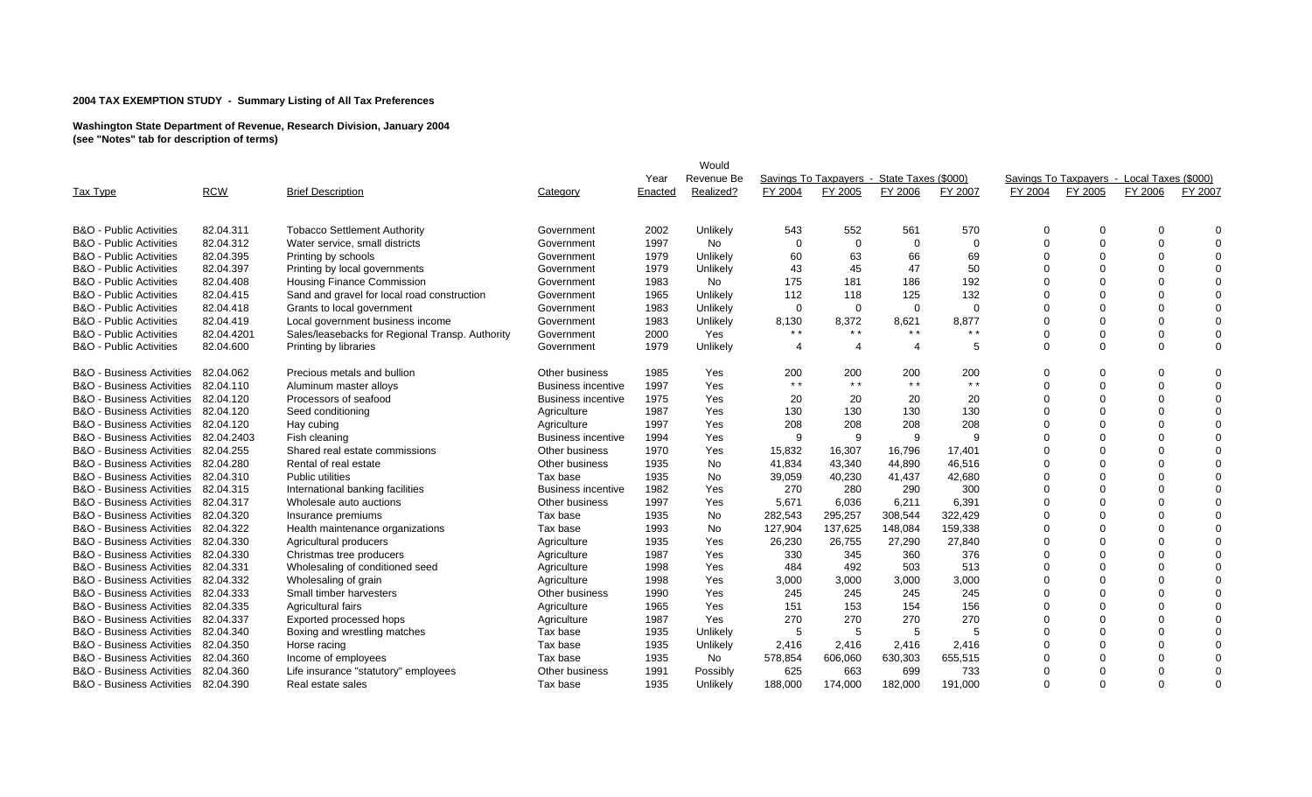|                                      |            |                                                 |                           |         | Would      |          |                                            |                       |                |          |                                            |                |          |
|--------------------------------------|------------|-------------------------------------------------|---------------------------|---------|------------|----------|--------------------------------------------|-----------------------|----------------|----------|--------------------------------------------|----------------|----------|
|                                      |            |                                                 |                           | Year    | Revenue Be |          | Savings To Taxpavers - State Taxes (\$000) |                       |                |          | Savings To Taxpavers - Local Taxes (\$000) |                |          |
| Tax Type                             | <b>RCW</b> | <b>Brief Description</b>                        | Category                  | Enacted | Realized?  | FY 2004  | FY 2005                                    | FY 2006               | FY 2007        | FY 2004  | FY 2005                                    | FY 2006        | FY 2007  |
|                                      |            |                                                 |                           |         |            |          |                                            |                       |                |          |                                            |                |          |
| <b>B&amp;O</b> - Public Activities   | 82.04.311  | <b>Tobacco Settlement Authority</b>             | Government                | 2002    | Unlikely   | 543      | 552                                        | 561                   | 570            | U        |                                            | $\Omega$       | $\Omega$ |
| <b>B&amp;O</b> - Public Activities   | 82.04.312  | Water service, small districts                  | Government                | 1997    | No         | $\Omega$ | $\Omega$                                   | 0                     | $\mathbf 0$    | U        |                                            | $\Omega$       | $\Omega$ |
| <b>B&amp;O</b> - Public Activities   | 82.04.395  | Printing by schools                             | Government                | 1979    | Unlikely   | 60       | 63                                         | 66                    | 69             |          |                                            | $\Omega$       | $\Omega$ |
| <b>B&amp;O</b> - Public Activities   | 82.04.397  | Printing by local governments                   | Government                | 1979    | Unlikely   | 43       | 45                                         | 47                    | 50             |          |                                            | $\Omega$       | $\Omega$ |
| <b>B&amp;O</b> - Public Activities   | 82.04.408  | <b>Housing Finance Commission</b>               | Government                | 1983    | No         | 175      | 181                                        | 186                   | 192            |          |                                            | $\Omega$       | $\Omega$ |
| <b>B&amp;O</b> - Public Activities   | 82.04.415  | Sand and gravel for local road construction     | Government                | 1965    | Unlikely   | 112      | 118                                        | 125                   | 132            |          |                                            | $\Omega$       | $\Omega$ |
| <b>B&amp;O</b> - Public Activities   | 82.04.418  | Grants to local government                      | Government                | 1983    | Unlikely   | $\Omega$ | $\Omega$                                   | $\Omega$              | $\Omega$       |          |                                            | $\Omega$       | $\Omega$ |
| <b>B&amp;O</b> - Public Activities   | 82.04.419  | Local government business income                | Government                | 1983    | Unlikely   | 8,130    | 8,372                                      | 8,621                 | 8,877          |          |                                            | $\mathbf 0$    | $\Omega$ |
| <b>B&amp;O</b> - Public Activities   | 82.04.4201 | Sales/leasebacks for Regional Transp. Authority | Government                | 2000    | Yes        | $* *$    | $\star$ $\star$                            | $* *$                 | $* *$          |          |                                            | $\Omega$       | $\Omega$ |
| <b>B&amp;O</b> - Public Activities   | 82.04.600  | Printing by libraries                           | Government                | 1979    | Unlikely   | $\Delta$ | 4                                          | $\boldsymbol{\Delta}$ | -5             | $\Omega$ | $\Omega$                                   | $\Omega$       | $\Omega$ |
| <b>B&amp;O</b> - Business Activities | 82.04.062  | Precious metals and bullion                     | Other business            | 1985    | Yes        | 200      | 200                                        | 200                   | 200            | 0        |                                            | $\Omega$       | $\Omega$ |
| <b>B&amp;O</b> - Business Activities | 82.04.110  | Aluminum master alloys                          | <b>Business incentive</b> | 1997    | Yes        | $* *$    | $* *$                                      | $* *$                 | $* *$          | $\Omega$ | $\Omega$                                   | $\mathbf 0$    | $\Omega$ |
| <b>B&amp;O</b> - Business Activities | 82.04.120  | Processors of seafood                           | <b>Business incentive</b> | 1975    | Yes        | 20       | 20                                         | 20                    | 20             |          |                                            | $\Omega$       | $\Omega$ |
| B&O - Business Activities            | 82.04.120  | Seed conditioning                               | Agriculture               | 1987    | Yes        | 130      | 130                                        | 130                   | 130            |          |                                            | $\Omega$       | $\Omega$ |
| <b>B&amp;O</b> - Business Activities | 82.04.120  | Hay cubing                                      | Agriculture               | 1997    | Yes        | 208      | 208                                        | 208                   | 208            |          |                                            | $\Omega$       | $\Omega$ |
| <b>B&amp;O</b> - Business Activities | 82.04.2403 | Fish cleaning                                   | <b>Business incentive</b> | 1994    | Yes        | 9        | 9                                          | 9                     | 9              |          |                                            | $\Omega$       | $\Omega$ |
| <b>B&amp;O</b> - Business Activities | 82.04.255  | Shared real estate commissions                  | Other business            | 1970    | Yes        | 15,832   | 16,307                                     | 16,796                | 17,401         |          |                                            | $\Omega$       | $\Omega$ |
| <b>B&amp;O</b> - Business Activities | 82.04.280  | Rental of real estate                           | Other business            | 1935    | No         | 41,834   | 43,340                                     | 44,890                | 46,516         |          |                                            | $\Omega$       | $\Omega$ |
| <b>B&amp;O</b> - Business Activities | 82.04.310  | <b>Public utilities</b>                         | Tax base                  | 1935    | No         | 39,059   | 40,230                                     | 41,437                | 42,680         |          |                                            | $\Omega$       | $\Omega$ |
| B&O - Business Activities            | 82.04.315  | International banking facilities                | <b>Business incentive</b> | 1982    | Yes        | 270      | 280                                        | 290                   | 300            |          |                                            | $\Omega$       | $\Omega$ |
| <b>B&amp;O</b> - Business Activities | 82.04.317  | Wholesale auto auctions                         | Other business            | 1997    | Yes        | 5,671    | 6,036                                      | 6,211                 | 6,391          | U        |                                            | $\Omega$       | $\Omega$ |
| <b>B&amp;O</b> - Business Activities | 82.04.320  | Insurance premiums                              | Tax base                  | 1935    | No         | 282,543  | 295,257                                    | 308,544               | 322,429        |          |                                            | $\Omega$       | $\Omega$ |
| <b>B&amp;O</b> - Business Activities | 82.04.322  | Health maintenance organizations                | Tax base                  | 1993    | No         | 127,904  | 137,625                                    | 148,084               | 159,338        |          |                                            | $\Omega$       | $\Omega$ |
| <b>B&amp;O</b> - Business Activities | 82.04.330  | Agricultural producers                          | Agriculture               | 1935    | Yes        | 26,230   | 26,755                                     | 27,290                | 27,840         |          |                                            | $\Omega$       | $\Omega$ |
| <b>B&amp;O</b> - Business Activities | 82.04.330  | Christmas tree producers                        | Agriculture               | 1987    | Yes        | 330      | 345                                        | 360                   | 376            |          |                                            | $\Omega$       | $\Omega$ |
| B&O - Business Activities            | 82.04.331  | Wholesaling of conditioned seed                 | Agriculture               | 1998    | Yes        | 484      | 492                                        | 503                   | 513            |          |                                            | $\Omega$       | $\Omega$ |
| <b>B&amp;O</b> - Business Activities | 82.04.332  | Wholesaling of grain                            | Agriculture               | 1998    | Yes        | 3,000    | 3,000                                      | 3,000                 | 3,000          |          |                                            | $\Omega$       | $\Omega$ |
| <b>B&amp;O</b> - Business Activities | 82.04.333  | Small timber harvesters                         | Other business            | 1990    | Yes        | 245      | 245                                        | 245                   | 245            |          |                                            | $\Omega$       | $\Omega$ |
| <b>B&amp;O</b> - Business Activities | 82.04.335  | Agricultural fairs                              | Agriculture               | 1965    | Yes        | 151      | 153                                        | 154                   | 156            |          |                                            | $\overline{0}$ | $\Omega$ |
| <b>B&amp;O</b> - Business Activities | 82.04.337  | Exported processed hops                         | Agriculture               | 1987    | Yes        | 270      | 270                                        | 270                   | 270            |          |                                            | $\Omega$       | $\Omega$ |
| <b>B&amp;O</b> - Business Activities | 82.04.340  | Boxing and wrestling matches                    | Tax base                  | 1935    | Unlikely   | 5        | 5                                          | 5                     | $\overline{5}$ |          |                                            | $\Omega$       | $\Omega$ |
| <b>B&amp;O</b> - Business Activities | 82.04.350  | Horse racing                                    | Tax base                  | 1935    | Unlikely   | 2,416    | 2,416                                      | 2,416                 | 2,416          |          |                                            | $\Omega$       | $\Omega$ |
| <b>B&amp;O</b> - Business Activities | 82.04.360  | Income of employees                             | Tax base                  | 1935    | No         | 578,854  | 606,060                                    | 630,303               | 655,515        | U        |                                            | $\Omega$       | $\Omega$ |
| <b>B&amp;O</b> - Business Activities | 82.04.360  | Life insurance "statutory" employees            | Other business            | 1991    | Possibly   | 625      | 663                                        | 699                   | 733            |          |                                            | $\Omega$       |          |
| B&O - Business Activities            | 82.04.390  | Real estate sales                               | Tax base                  | 1935    | Unlikely   | 188,000  | 174,000                                    | 182,000               | 191.000        | $\Omega$ | $\Omega$                                   | $\Omega$       | $\Omega$ |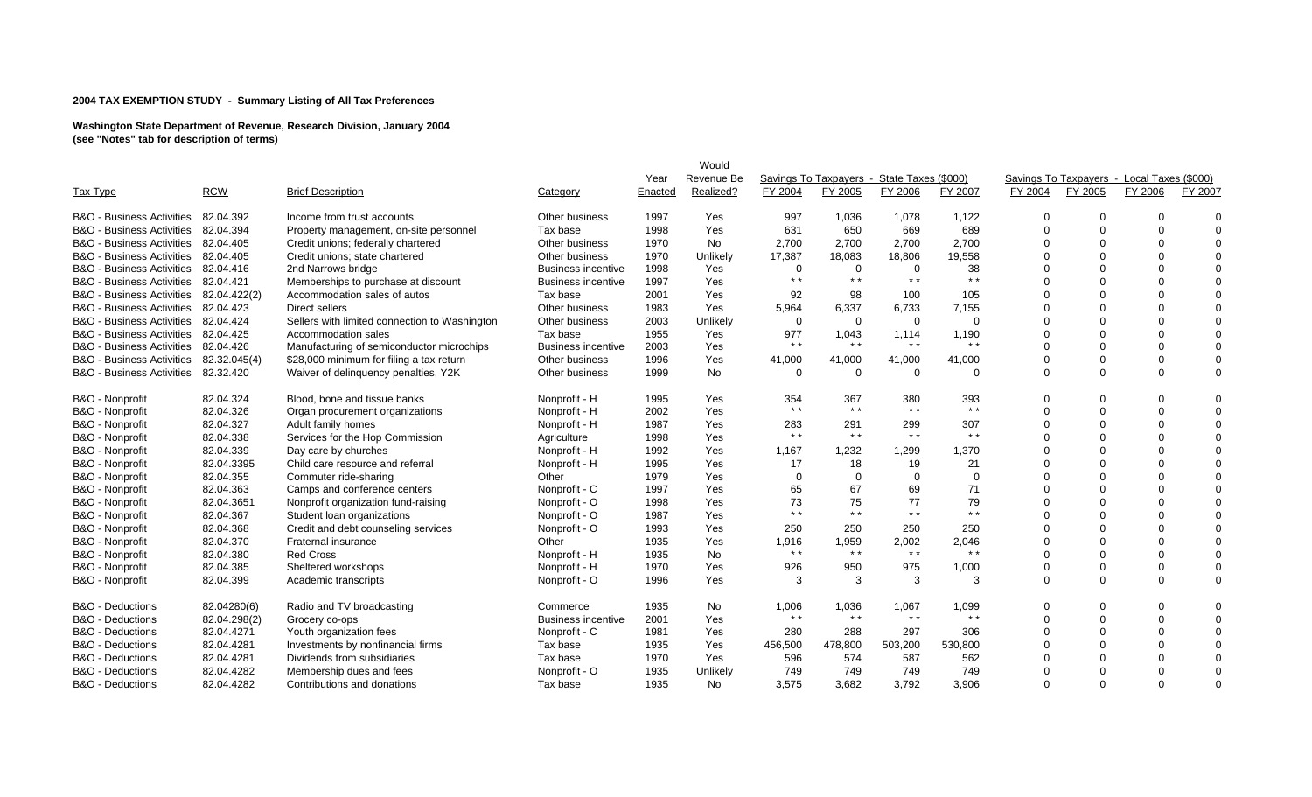|                                      |              |                                               |                           | Year    | Would<br>Revenue Be |                |          | Savings To Taxpayers - State Taxes (\$000) |                 |          | Savings To Taxpayers - Local Taxes (\$000) |                |          |
|--------------------------------------|--------------|-----------------------------------------------|---------------------------|---------|---------------------|----------------|----------|--------------------------------------------|-----------------|----------|--------------------------------------------|----------------|----------|
| Tax Type                             | <b>RCW</b>   | <b>Brief Description</b>                      | Category                  | Enacted | Realized?           | FY 2004        | FY 2005  | FY 2006                                    | FY 2007         | FY 2004  | FY 2005                                    | FY 2006        | FY 2007  |
| B&O - Business Activities            | 82.04.392    | Income from trust accounts                    | Other business            | 1997    | Yes                 | 997            | 1,036    | 1,078                                      | 1,122           | $\Omega$ |                                            | $\Omega$       | $\Omega$ |
| B&O - Business Activities            | 82.04.394    | Property management, on-site personnel        | Tax base                  | 1998    | Yes                 | 631            | 650      | 669                                        | 689             | $\Omega$ |                                            | $\Omega$       | $\Omega$ |
| <b>B&amp;O</b> - Business Activities | 82.04.405    | Credit unions; federally chartered            | Other business            | 1970    | <b>No</b>           | 2,700          | 2,700    | 2,700                                      | 2,700           | U        |                                            | $\Omega$       | $\Omega$ |
| <b>B&amp;O</b> - Business Activities | 82.04.405    | Credit unions; state chartered                | Other business            | 1970    | Unlikely            | 17,387         | 18,083   | 18,806                                     | 19,558          |          |                                            | $\Omega$       | $\Omega$ |
| <b>B&amp;O</b> - Business Activities | 82.04.416    | 2nd Narrows bridge                            | <b>Business incentive</b> | 1998    | Yes                 | $\Omega$       | $\Omega$ | $\mathbf 0$                                | 38              |          |                                            | $\overline{0}$ | $\Omega$ |
| <b>B&amp;O - Business Activities</b> | 82.04.421    | Memberships to purchase at discount           | <b>Business incentive</b> | 1997    | Yes                 | $* *$          | $* *$    | $* *$                                      | $* *$           |          |                                            | $\Omega$       | $\Omega$ |
| <b>B&amp;O</b> - Business Activities | 82.04.422(2) | Accommodation sales of autos                  | Tax base                  | 2001    | Yes                 | 92             | 98       | 100                                        | 105             |          |                                            | $\Omega$       | $\Omega$ |
| <b>B&amp;O</b> - Business Activities | 82.04.423    | Direct sellers                                | Other business            | 1983    | Yes                 | 5,964          | 6,337    | 6,733                                      | 7,155           |          |                                            | $\Omega$       | $\Omega$ |
| <b>B&amp;O</b> - Business Activities | 82.04.424    | Sellers with limited connection to Washington | Other business            | 2003    | Unlikely            | $\overline{0}$ | 0        | $\Omega$                                   | $\Omega$        |          |                                            | $\Omega$       | $\Omega$ |
| <b>B&amp;O</b> - Business Activities | 82.04.425    | Accommodation sales                           | Tax base                  | 1955    | Yes                 | 977            | 1,043    | 1,114                                      | 1,190           |          |                                            | $\Omega$       | $\Omega$ |
| <b>B&amp;O - Business Activities</b> | 82.04.426    | Manufacturing of semiconductor microchips     | <b>Business incentive</b> | 2003    | Yes                 | $* *$          | $* *$    | $* *$                                      | $* *$           |          |                                            | $\mathbf 0$    | $\Omega$ |
| <b>B&amp;O</b> - Business Activities | 82.32.045(4) | \$28,000 minimum for filing a tax return      | Other business            | 1996    | Yes                 | 41,000         | 41,000   | 41,000                                     | 41,000          |          |                                            | $\Omega$       | $\Omega$ |
| <b>B&amp;O - Business Activities</b> | 82.32.420    | Waiver of delinquency penalties, Y2K          | Other business            | 1999    | No                  | $\Omega$       | $\Omega$ | $\Omega$                                   | $\Omega$        | $\Omega$ |                                            | $\mathbf 0$    | $\Omega$ |
| B&O - Nonprofit                      | 82.04.324    | Blood, bone and tissue banks                  | Nonprofit - H             | 1995    | Yes                 | 354            | 367      | 380                                        | 393             | $\Omega$ |                                            | 0              | $\Omega$ |
| B&O - Nonprofit                      | 82.04.326    | Organ procurement organizations               | Nonprofit - H             | 2002    | Yes                 | $* *$          | $* *$    | $* *$                                      | $* *$           | $\Omega$ | $\Omega$                                   | $\mathbf 0$    | $\Omega$ |
| B&O - Nonprofit                      | 82.04.327    | Adult family homes                            | Nonprofit - H             | 1987    | Yes                 | 283            | 291      | 299                                        | 307             |          |                                            | $\mathbf 0$    | $\Omega$ |
| B&O - Nonprofit                      | 82.04.338    | Services for the Hop Commission               | Agriculture               | 1998    | Yes                 | $* *$          | $* *$    | $* *$                                      | $\star$ $\star$ |          |                                            | $\Omega$       | $\Omega$ |
| B&O - Nonprofit                      | 82.04.339    | Day care by churches                          | Nonprofit - H             | 1992    | Yes                 | 1,167          | 1,232    | 1,299                                      | 1,370           | $\Omega$ |                                            | $\Omega$       | $\Omega$ |
| B&O - Nonprofit                      | 82.04.3395   | Child care resource and referral              | Nonprofit - H             | 1995    | Yes                 | 17             | 18       | 19                                         | 21              |          |                                            | $\Omega$       | $\Omega$ |
| B&O - Nonprofit                      | 82.04.355    | Commuter ride-sharing                         | Other                     | 1979    | Yes                 | $\Omega$       | $\Omega$ | $\Omega$                                   | $\overline{0}$  |          |                                            | $\Omega$       | $\Omega$ |
| B&O - Nonprofit                      | 82.04.363    | Camps and conference centers                  | Nonprofit - C             | 1997    | Yes                 | 65             | 67       | 69                                         | 71              |          |                                            | $\Omega$       | $\Omega$ |
| B&O - Nonprofit                      | 82.04.3651   | Nonprofit organization fund-raising           | Nonprofit - O             | 1998    | Yes                 | 73             | 75       | 77                                         | 79              |          |                                            | $\Omega$       | $\Omega$ |
| B&O - Nonprofit                      | 82.04.367    | Student loan organizations                    | Nonprofit - O             | 1987    | Yes                 | $* *$          | $* *$    | $* *$                                      | $* *$           | $\Omega$ |                                            | $\Omega$       | $\Omega$ |
| B&O - Nonprofit                      | 82.04.368    | Credit and debt counseling services           | Nonprofit - O             | 1993    | Yes                 | 250            | 250      | 250                                        | 250             |          |                                            | $\mathbf 0$    | $\Omega$ |
| B&O - Nonprofit                      | 82.04.370    | Fraternal insurance                           | Other                     | 1935    | Yes                 | 1,916          | 1,959    | 2,002                                      | 2,046           |          |                                            | $\Omega$       | $\Omega$ |
| B&O - Nonprofit                      | 82.04.380    | <b>Red Cross</b>                              | Nonprofit - H             | 1935    | No                  | $* *$          | $* *$    | $* *$                                      | $* *$           |          |                                            | $\mathbf 0$    | $\Omega$ |
| B&O - Nonprofit                      | 82.04.385    | Sheltered workshops                           | Nonprofit - H             | 1970    | Yes                 | 926            | 950      | 975                                        | 1,000           | ∩        |                                            | $\mathbf 0$    | 0        |
| B&O - Nonprofit                      | 82.04.399    | Academic transcripts                          | Nonprofit - O             | 1996    | Yes                 | 3              | 3        | 3                                          | -3              | $\Omega$ | $\Omega$                                   | $\Omega$       | $\Omega$ |
| B&O - Deductions                     | 82.04280(6)  | Radio and TV broadcasting                     | Commerce                  | 1935    | No                  | 1,006          | 1,036    | 1,067                                      | 1,099           | 0        |                                            | $\mathbf 0$    | $\Omega$ |
| B&O - Deductions                     | 82.04.298(2) | Grocery co-ops                                | <b>Business incentive</b> | 2001    | Yes                 | $* *$          | $* *$    | $* *$                                      | $* *$           | $\Omega$ | $\Omega$                                   | $\mathbf 0$    | $\Omega$ |
| <b>B&amp;O</b> - Deductions          | 82.04.4271   | Youth organization fees                       | Nonprofit - C             | 1981    | Yes                 | 280            | 288      | 297                                        | 306             |          |                                            | $\Omega$       | $\Omega$ |
| B&O - Deductions                     | 82.04.4281   | Investments by nonfinancial firms             | Tax base                  | 1935    | Yes                 | 456,500        | 478,800  | 503,200                                    | 530,800         | U        |                                            | $\Omega$       | $\Omega$ |
| B&O - Deductions                     | 82.04.4281   | Dividends from subsidiaries                   | Tax base                  | 1970    | Yes                 | 596            | 574      | 587                                        | 562             | U        |                                            | $\Omega$       | $\Omega$ |
| <b>B&amp;O</b> - Deductions          | 82.04.4282   | Membership dues and fees                      | Nonprofit - O             | 1935    | Unlikely            | 749            | 749      | 749                                        | 749             |          |                                            | $\Omega$       | $\Omega$ |
| B&O - Deductions                     | 82.04.4282   | Contributions and donations                   | Tax base                  | 1935    | No.                 | 3,575          | 3,682    | 3,792                                      | 3,906           | $\Omega$ | $\Omega$                                   | $\Omega$       | $\Omega$ |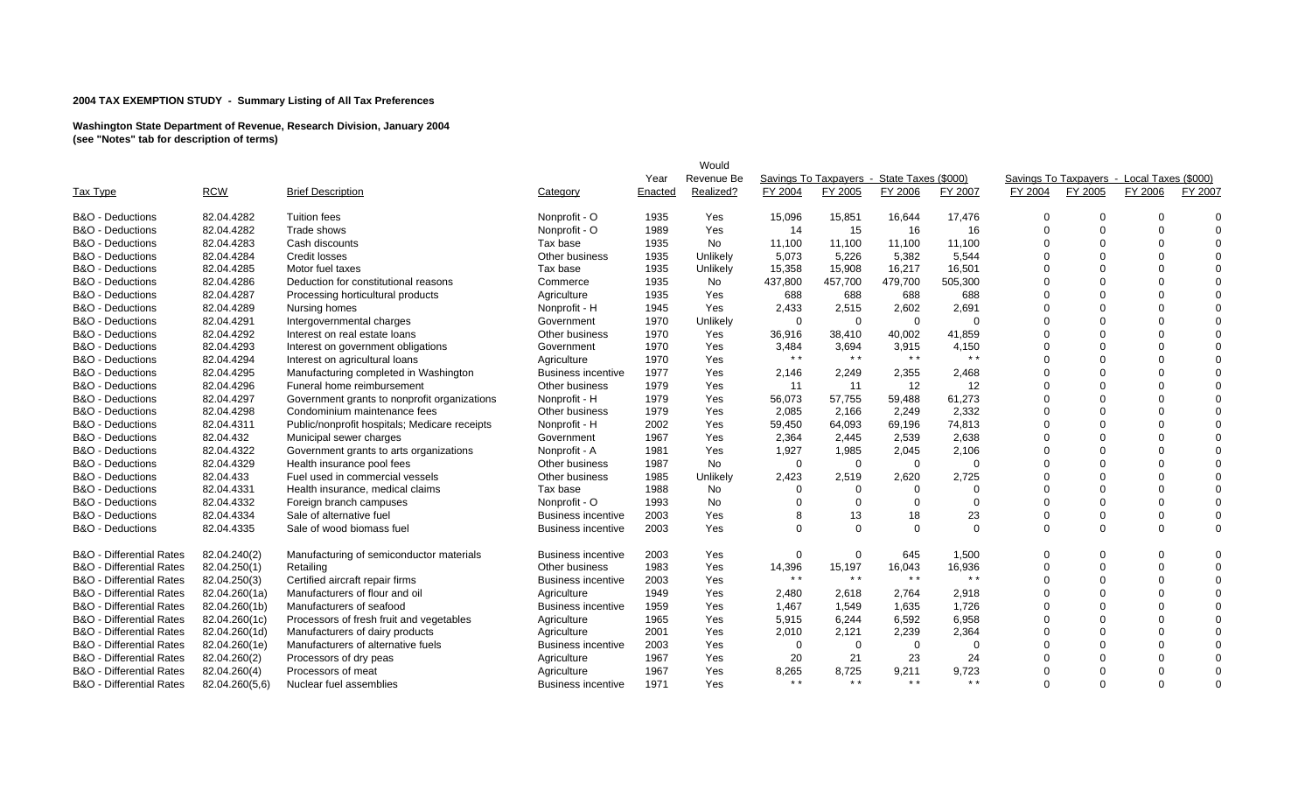| Tax Type                            | <b>RCW</b>     | <b>Brief Description</b>                      | Category                  | Year<br>Enacted | Would<br>Revenue Be<br>Realized? | FY 2004         | FY 2005     | Savings To Taxpayers - State Taxes (\$000)<br>FY 2006 | FY 2007  | FY 2004        | FY 2005  | Savings To Taxpayers - Local Taxes (\$000)<br>FY 2006 | FY 2007  |
|-------------------------------------|----------------|-----------------------------------------------|---------------------------|-----------------|----------------------------------|-----------------|-------------|-------------------------------------------------------|----------|----------------|----------|-------------------------------------------------------|----------|
| <b>B&amp;O</b> - Deductions         | 82.04.4282     | <b>Tuition fees</b>                           | Nonprofit - O             | 1935            | Yes                              | 15,096          | 15,851      | 16,644                                                | 17,476   | $\Omega$       | $\Omega$ |                                                       | $\Omega$ |
| <b>B&amp;O</b> - Deductions         | 82.04.4282     | Trade shows                                   | Nonprofit - O             | 1989            | Yes                              | 14              | 15          | 16                                                    | 16       | $\Omega$       | $\Omega$ | $\Omega$                                              | $\Omega$ |
| <b>B&amp;O</b> - Deductions         | 82.04.4283     | Cash discounts                                | Tax base                  | 1935            | No                               | 11,100          | 11,100      | 11,100                                                | 11,100   | $\Omega$       | $\Omega$ | $\Omega$                                              | $\Omega$ |
| <b>B&amp;O</b> - Deductions         | 82.04.4284     | <b>Credit losses</b>                          | Other business            | 1935            | Unlikely                         | 5,073           | 5,226       | 5,382                                                 | 5,544    | $\Omega$       | $\Omega$ | $\Omega$                                              | $\Omega$ |
| <b>B&amp;O</b> - Deductions         | 82.04.4285     | Motor fuel taxes                              | Tax base                  | 1935            | Unlikely                         | 15,358          | 15,908      | 16,217                                                | 16,501   |                | $\Omega$ |                                                       | $\Omega$ |
| <b>B&amp;O</b> - Deductions         | 82.04.4286     | Deduction for constitutional reasons          | Commerce                  | 1935            | No                               | 437,800         | 457,700     | 479,700                                               | 505,300  |                |          |                                                       | $\Omega$ |
| <b>B&amp;O</b> - Deductions         | 82.04.4287     | Processing horticultural products             | Agriculture               | 1935            | Yes                              | 688             | 688         | 688                                                   | 688      | $\Omega$       | $\Omega$ | $\Omega$                                              | $\Omega$ |
| <b>B&amp;O</b> - Deductions         | 82.04.4289     | Nursing homes                                 | Nonprofit - H             | 1945            | Yes                              | 2,433           | 2,515       | 2,602                                                 | 2,691    |                | $\Omega$ |                                                       | $\Omega$ |
| <b>B&amp;O</b> - Deductions         | 82.04.4291     | Intergovernmental charges                     | Government                | 1970            | Unlikely                         | $\Omega$        | $\Omega$    | $\Omega$                                              | $\Omega$ |                | $\Omega$ | $\Omega$                                              | $\Omega$ |
| <b>B&amp;O</b> - Deductions         | 82.04.4292     | Interest on real estate loans                 | Other business            | 1970            | Yes                              | 36,916          | 38,410      | 40,002                                                | 41,859   |                | $\Omega$ |                                                       | $\Omega$ |
| <b>B&amp;O</b> - Deductions         | 82.04.4293     | Interest on government obligations            | Government                | 1970            | Yes                              | 3,484           | 3,694       | 3,915                                                 | 4,150    |                | $\Omega$ | $\Omega$                                              | $\Omega$ |
| B&O - Deductions                    | 82.04.4294     | Interest on agricultural loans                | Agriculture               | 1970            | Yes                              | $* *$           | $* *$       | $\star$ $\star$                                       | $* *$    | $\Omega$       | $\Omega$ | $\Omega$                                              | $\Omega$ |
| <b>B&amp;O</b> - Deductions         | 82.04.4295     | Manufacturing completed in Washington         | <b>Business incentive</b> | 1977            | Yes                              | 2,146           | 2,249       | 2,355                                                 | 2,468    |                |          |                                                       | $\Omega$ |
| <b>B&amp;O</b> - Deductions         | 82.04.4296     | Funeral home reimbursement                    | Other business            | 1979            | Yes                              | 11              | 11          | $12 \overline{ }$                                     | 12       | $\Omega$       | $\Omega$ | $\Omega$                                              | $\Omega$ |
| B&O - Deductions                    | 82.04.4297     | Government grants to nonprofit organizations  | Nonprofit - H             | 1979            | Yes                              | 56,073          | 57,755      | 59,488                                                | 61,273   | $\Omega$       | $\Omega$ | $\Omega$                                              | $\Omega$ |
| B&O - Deductions                    | 82.04.4298     | Condominium maintenance fees                  | Other business            | 1979            | Yes                              | 2,085           | 2,166       | 2,249                                                 | 2,332    | $\Omega$       | $\Omega$ | $\Omega$                                              | $\Omega$ |
| B&O - Deductions                    | 82.04.4311     | Public/nonprofit hospitals; Medicare receipts | Nonprofit - H             | 2002            | Yes                              | 59,450          | 64,093      | 69,196                                                | 74,813   | $\Omega$       | $\Omega$ | $\Omega$                                              | $\Omega$ |
| <b>B&amp;O</b> - Deductions         | 82.04.432      | Municipal sewer charges                       | Government                | 1967            | Yes                              | 2,364           | 2,445       | 2,539                                                 | 2,638    |                | $\Omega$ | $\Omega$                                              | $\Omega$ |
| <b>B&amp;O</b> - Deductions         | 82.04.4322     | Government grants to arts organizations       | Nonprofit - A             | 1981            | Yes                              | 1,927           | 1,985       | 2,045                                                 | 2,106    | $\Omega$       | $\Omega$ | $\Omega$                                              | $\Omega$ |
| <b>B&amp;O</b> - Deductions         | 82.04.4329     | Health insurance pool fees                    | Other business            | 1987            | <b>No</b>                        | $\Omega$        | 0           | $\Omega$                                              | $\Omega$ | $\Omega$       | $\Omega$ | $\Omega$                                              | $\Omega$ |
| <b>B&amp;O</b> - Deductions         | 82.04.433      | Fuel used in commercial vessels               | Other business            | 1985            | Unlikely                         | 2,423           | 2,519       | 2,620                                                 | 2,725    | $\Omega$       | $\Omega$ | $\Omega$                                              | $\Omega$ |
| B&O - Deductions                    | 82.04.4331     | Health insurance, medical claims              | Tax base                  | 1988            | No                               | $\Omega$        | $\Omega$    | $\Omega$                                              | $\Omega$ |                | $\Omega$ | $\Omega$                                              | $\Omega$ |
| B&O - Deductions                    | 82.04.4332     | Foreign branch campuses                       | Nonprofit - O             | 1993            | No                               | $\Omega$        | $\mathbf 0$ | $\Omega$                                              | $\Omega$ | $\Omega$       | $\Omega$ | $\Omega$                                              | $\Omega$ |
| <b>B&amp;O</b> - Deductions         | 82.04.4334     | Sale of alternative fuel                      | Business incentive        | 2003            | Yes                              |                 | 13          | 18                                                    | 23       | $\Omega$       | $\Omega$ | $\Omega$                                              | $\Omega$ |
| <b>B&amp;O</b> - Deductions         | 82.04.4335     | Sale of wood biomass fuel                     | Business incentive        | 2003            | Yes                              | $\Omega$        | $\Omega$    | $\Omega$                                              | $\Omega$ | $\Omega$       | $\Omega$ | $\Omega$                                              | $\Omega$ |
| <b>B&amp;O</b> - Differential Rates | 82.04.240(2)   | Manufacturing of semiconductor materials      | <b>Business incentive</b> | 2003            | Yes                              | $\mathbf 0$     | 0           | 645                                                   | 1,500    | $\overline{0}$ | $\Omega$ | $\Omega$                                              | $\Omega$ |
| <b>B&amp;O</b> - Differential Rates | 82.04.250(1)   | Retailing                                     | Other business            | 1983            | Yes                              | 14,396          | 15,197      | 16,043                                                | 16,936   | $\Omega$       | $\Omega$ | $\Omega$                                              | $\Omega$ |
| <b>B&amp;O</b> - Differential Rates | 82.04.250(3)   | Certified aircraft repair firms               | <b>Business incentive</b> | 2003            | Yes                              | $\star$ $\star$ | $* *$       | $* *$                                                 | $* *$    |                | $\Omega$ | $\Omega$                                              | $\Omega$ |
| <b>B&amp;O</b> - Differential Rates | 82.04.260(1a)  | Manufacturers of flour and oil                | Agriculture               | 1949            | Yes                              | 2,480           | 2,618       | 2,764                                                 | 2,918    | $\Omega$       | $\Omega$ | $\Omega$                                              | $\Omega$ |
| <b>B&amp;O</b> - Differential Rates | 82.04.260(1b)  | Manufacturers of seafood                      | <b>Business incentive</b> | 1959            | Yes                              | 1,467           | 1,549       | 1,635                                                 | 1,726    | $\Omega$       | $\Omega$ | $\Omega$                                              | $\Omega$ |
| <b>B&amp;O</b> - Differential Rates | 82.04.260(1c)  | Processors of fresh fruit and vegetables      | Agriculture               | 1965            | Yes                              | 5,915           | 6,244       | 6,592                                                 | 6,958    |                | $\Omega$ | $\Omega$                                              | $\Omega$ |
| <b>B&amp;O</b> - Differential Rates | 82.04.260(1d)  | Manufacturers of dairy products               | Agriculture               | 2001            | Yes                              | 2,010           | 2,121       | 2,239                                                 | 2,364    |                | $\Omega$ |                                                       | $\Omega$ |
| <b>B&amp;O</b> - Differential Rates | 82.04.260(1e)  | Manufacturers of alternative fuels            | <b>Business incentive</b> | 2003            | Yes                              | $\Omega$        | $\mathbf 0$ | $\Omega$                                              | $\Omega$ |                | $\Omega$ | $\Omega$                                              | $\Omega$ |
| <b>B&amp;O</b> - Differential Rates | 82.04.260(2)   | Processors of dry peas                        | Agriculture               | 1967            | Yes                              | 20              | 21          | 23                                                    | 24       |                |          |                                                       | $\Omega$ |
| <b>B&amp;O</b> - Differential Rates | 82.04.260(4)   | Processors of meat                            | Agriculture               | 1967            | Yes                              | 8,265           | 8,725       | 9,211                                                 | 9,723    |                | $\Omega$ |                                                       | $\Omega$ |
| <b>B&amp;O</b> - Differential Rates | 82.04.260(5,6) | Nuclear fuel assemblies                       | <b>Business incentive</b> | 1971            | Yes                              | $\star$ $\star$ | $* *$       | $\star$ $\star$                                       | $* *$    | $\Omega$       | $\Omega$ | $\Omega$                                              | $\Omega$ |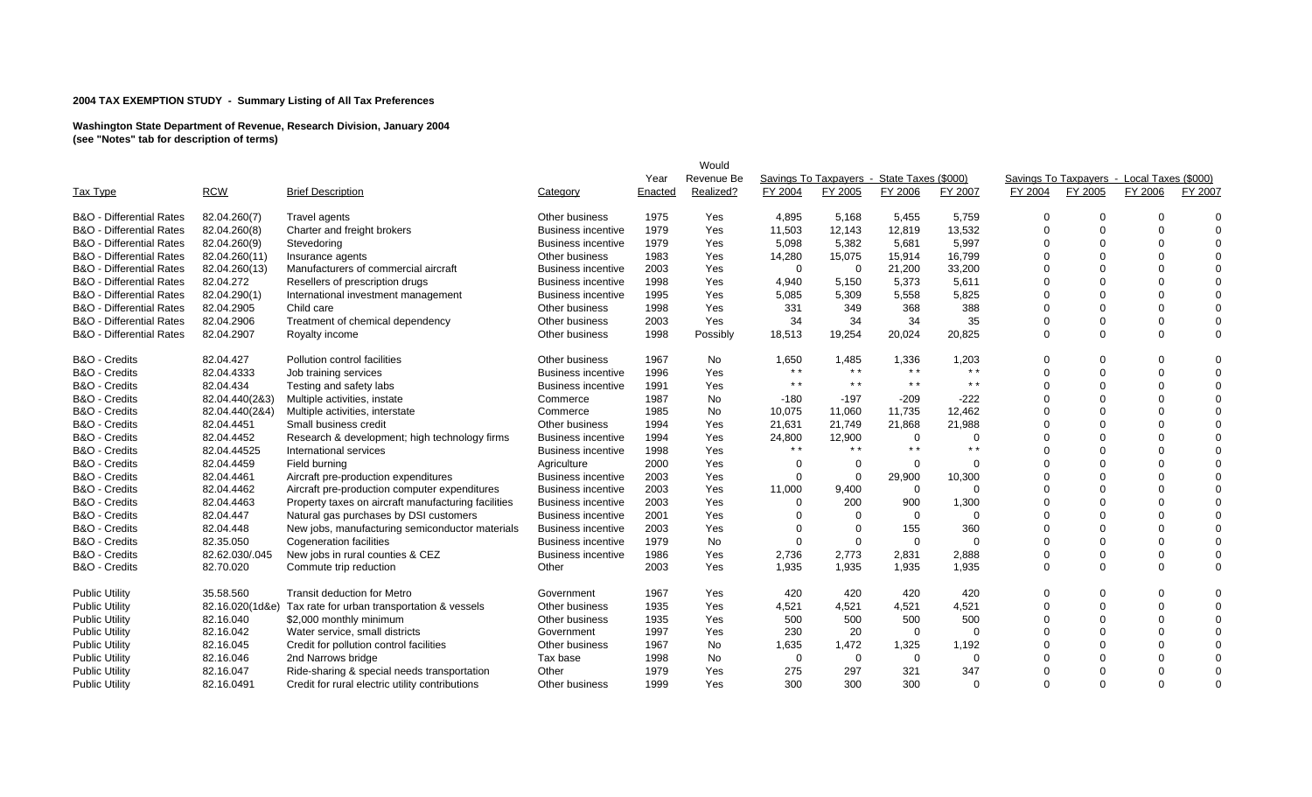|                                     |                 |                                                     |                           |         | Would      |                |                 |                                            |          |          |                                            |          |             |
|-------------------------------------|-----------------|-----------------------------------------------------|---------------------------|---------|------------|----------------|-----------------|--------------------------------------------|----------|----------|--------------------------------------------|----------|-------------|
|                                     |                 |                                                     |                           | Year    | Revenue Be |                |                 | Savings To Taxpayers - State Taxes (\$000) |          |          | Savings To Taxpayers - Local Taxes (\$000) |          |             |
| Tax Type                            | <b>RCW</b>      | <b>Brief Description</b>                            | Category                  | Enacted | Realized?  | FY 2004        | FY 2005         | FY 2006                                    | FY 2007  | FY 2004  | FY 2005                                    | FY 2006  | FY 2007     |
| <b>B&amp;O</b> - Differential Rates | 82.04.260(7)    | Travel agents                                       | Other business            | 1975    | Yes        | 4,895          | 5,168           | 5,455                                      | 5,759    | $\Omega$ | $\Omega$                                   | $\Omega$ | $\Omega$    |
| <b>B&amp;O</b> - Differential Rates | 82.04.260(8)    | Charter and freight brokers                         | Business incentive        | 1979    | Yes        | 11,503         | 12,143          | 12,819                                     | 13,532   | $\Omega$ | $\Omega$                                   | $\Omega$ | $\Omega$    |
| <b>B&amp;O</b> - Differential Rates | 82.04.260(9)    | Stevedoring                                         | <b>Business incentive</b> | 1979    | Yes        | 5,098          | 5,382           | 5,681                                      | 5,997    | $\Omega$ | $\Omega$                                   | $\Omega$ | $\Omega$    |
| <b>B&amp;O</b> - Differential Rates | 82.04.260(11)   | Insurance agents                                    | Other business            | 1983    | Yes        | 14,280         | 15,075          | 15,914                                     | 16,799   | $\Omega$ | $\Omega$                                   | $\Omega$ | $\Omega$    |
| <b>B&amp;O</b> - Differential Rates | 82.04.260(13)   | Manufacturers of commercial aircraft                | Business incentive        | 2003    | Yes        | $\Omega$       | $\Omega$        | 21,200                                     | 33,200   |          | $\Omega$                                   | $\Omega$ | $\Omega$    |
| <b>B&amp;O</b> - Differential Rates | 82.04.272       | Resellers of prescription drugs                     | Business incentive        | 1998    | Yes        | 4,940          | 5,150           | 5,373                                      | 5,611    |          | $\Omega$                                   | $\Omega$ | $\Omega$    |
| <b>B&amp;O</b> - Differential Rates | 82.04.290(1)    | International investment management                 | Business incentive        | 1995    | Yes        | 5,085          | 5,309           | 5,558                                      | 5,825    |          | $\Omega$                                   | $\Omega$ | $\Omega$    |
| <b>B&amp;O</b> - Differential Rates | 82.04.2905      | Child care                                          | Other business            | 1998    | Yes        | 331            | 349             | 368                                        | 388      | $\Omega$ | $\Omega$                                   | $\Omega$ | $\Omega$    |
| <b>B&amp;O</b> - Differential Rates | 82.04.2906      | Treatment of chemical dependency                    | Other business            | 2003    | Yes        | 34             | 34              | 34                                         | 35       | $\Omega$ | $\Omega$                                   | $\Omega$ | $\mathbf 0$ |
| <b>B&amp;O</b> - Differential Rates | 82.04.2907      | Royalty income                                      | Other business            | 1998    | Possibly   | 18,513         | 19,254          | 20,024                                     | 20,825   | $\Omega$ | $\Omega$                                   | $\Omega$ | $\mathbf 0$ |
| B&O - Credits                       | 82.04.427       | Pollution control facilities                        | Other business            | 1967    | No         | 1,650          | 1,485           | 1,336                                      | 1,203    | 0        | $\Omega$                                   | $\Omega$ | $\Omega$    |
| B&O - Credits                       | 82.04.4333      | Job training services                               | Business incentive        | 1996    | Yes        | $* *$          | $\star$ $\star$ | $\star$ $\star$                            | $* *$    | $\Omega$ | $\Omega$                                   | $\Omega$ | $\Omega$    |
| B&O - Credits                       | 82.04.434       | Testing and safety labs                             | <b>Business incentive</b> | 1991    | Yes        | $* *$          | $* *$           | $* *$                                      | $* *$    |          | $\Omega$                                   | $\Omega$ | $\Omega$    |
| B&O - Credits                       | 82.04.440(2&3)  | Multiple activities, instate                        | Commerce                  | 1987    | No         | $-180$         | $-197$          | $-209$                                     | $-222$   |          | $\Omega$                                   | $\Omega$ | $\Omega$    |
| B&O - Credits                       | 82.04.440(2&4)  | Multiple activities, interstate                     | Commerce                  | 1985    | No         | 10,075         | 11,060          | 11,735                                     | 12,462   | $\Omega$ | $\Omega$                                   | $\Omega$ | $\Omega$    |
| B&O - Credits                       | 82.04.4451      | Small business credit                               | Other business            | 1994    | Yes        | 21,631         | 21,749          | 21,868                                     | 21,988   | $\Omega$ | $\Omega$                                   | $\Omega$ | $\Omega$    |
| B&O - Credits                       | 82.04.4452      | Research & development; high technology firms       | <b>Business incentive</b> | 1994    | Yes        | 24,800         | 12,900          | 0                                          | $\Omega$ |          | $\Omega$                                   | $\Omega$ | $\Omega$    |
| B&O - Credits                       | 82.04.44525     | International services                              | Business incentive        | 1998    | Yes        | $* *$          | $* *$           | $* *$                                      | $* *$    |          |                                            |          | $\Omega$    |
| B&O - Credits                       | 82.04.4459      | Field burning                                       | Agriculture               | 2000    | Yes        | $\Omega$       | 0               | 0                                          | $\Omega$ |          | $\Omega$                                   | $\Omega$ | $\Omega$    |
| B&O - Credits                       | 82.04.4461      | Aircraft pre-production expenditures                | <b>Business incentive</b> | 2003    | Yes        | $\Omega$       | $\mathbf 0$     | 29,900                                     | 10,300   |          |                                            |          | $\Omega$    |
| B&O - Credits                       | 82.04.4462      | Aircraft pre-production computer expenditures       | Business incentive        | 2003    | Yes        | 11,000         | 9,400           | $\mathbf 0$                                | $\Omega$ | $\cap$   | $\Omega$                                   |          | $\Omega$    |
| B&O - Credits                       | 82.04.4463      | Property taxes on aircraft manufacturing facilities | <b>Business incentive</b> | 2003    | Yes        | $\Omega$       | 200             | 900                                        | 1,300    |          | $\Omega$                                   | $\Omega$ | $\Omega$    |
| B&O - Credits                       | 82.04.447       | Natural gas purchases by DSI customers              | <b>Business incentive</b> | 2001    | Yes        | $\Omega$       | $\Omega$        | $\Omega$                                   | $\Omega$ | $\Omega$ | $\Omega$                                   | $\Omega$ | $\Omega$    |
| B&O - Credits                       | 82.04.448       | New jobs, manufacturing semiconductor materials     | <b>Business incentive</b> | 2003    | Yes        | $\Omega$       | $\mathbf 0$     | 155                                        | 360      | $\Omega$ | $\Omega$                                   | $\Omega$ | $\Omega$    |
| B&O - Credits                       | 82.35.050       | <b>Cogeneration facilities</b>                      | <b>Business incentive</b> | 1979    | No         | $\overline{0}$ | $\mathbf 0$     | $\mathbf 0$                                | $\Omega$ |          | $\Omega$                                   | $\Omega$ | $\Omega$    |
| B&O - Credits                       | 82.62.030/.045  | New jobs in rural counties & CEZ                    | <b>Business incentive</b> | 1986    | Yes        | 2,736          | 2,773           | 2,831                                      | 2,888    | $\Omega$ | $\Omega$                                   | $\Omega$ | $\mathbf 0$ |
| B&O - Credits                       | 82.70.020       | Commute trip reduction                              | Other                     | 2003    | Yes        | 1,935          | 1,935           | 1,935                                      | 1,935    | $\Omega$ | $\Omega$                                   | $\Omega$ | $\mathbf 0$ |
| <b>Public Utility</b>               | 35.58.560       | <b>Transit deduction for Metro</b>                  | Government                | 1967    | Yes        | 420            | 420             | 420                                        | 420      | $\Omega$ | $\Omega$                                   | $\Omega$ | $\mathbf 0$ |
| <b>Public Utility</b>               | 82.16.020(1d&e) | Tax rate for urban transportation & vessels         | Other business            | 1935    | Yes        | 4,521          | 4,521           | 4,521                                      | 4,521    | $\Omega$ | $\Omega$                                   | $\Omega$ | $\Omega$    |
| <b>Public Utility</b>               | 82.16.040       | \$2,000 monthly minimum                             | Other business            | 1935    | Yes        | 500            | 500             | 500                                        | 500      |          | $\Omega$                                   | $\Omega$ | $\Omega$    |
| <b>Public Utility</b>               | 82.16.042       | Water service, small districts                      | Government                | 1997    | Yes        | 230            | 20              | $\mathbf 0$                                | $\Omega$ |          | $\Omega$                                   |          | $\Omega$    |
| <b>Public Utility</b>               | 82.16.045       | Credit for pollution control facilities             | Other business            | 1967    | <b>No</b>  | 1,635          | 1,472           | 1,325                                      | 1,192    |          | $\Omega$                                   |          | $\mathbf 0$ |
| <b>Public Utility</b>               | 82.16.046       | 2nd Narrows bridge                                  | Tax base                  | 1998    | No         | $\Omega$       | $\Omega$        | $\Omega$                                   | $\Omega$ |          |                                            |          | $\Omega$    |
| <b>Public Utility</b>               | 82.16.047       | Ride-sharing & special needs transportation         | Other                     | 1979    | Yes        | 275            | 297             | 321                                        | 347      |          | $\Omega$                                   |          | $\Omega$    |
| <b>Public Utility</b>               | 82.16.0491      | Credit for rural electric utility contributions     | Other business            | 1999    | <b>Yes</b> | 300            | 300             | 300                                        | $\Omega$ | $\Omega$ | $\Omega$                                   | $\Omega$ | $\Omega$    |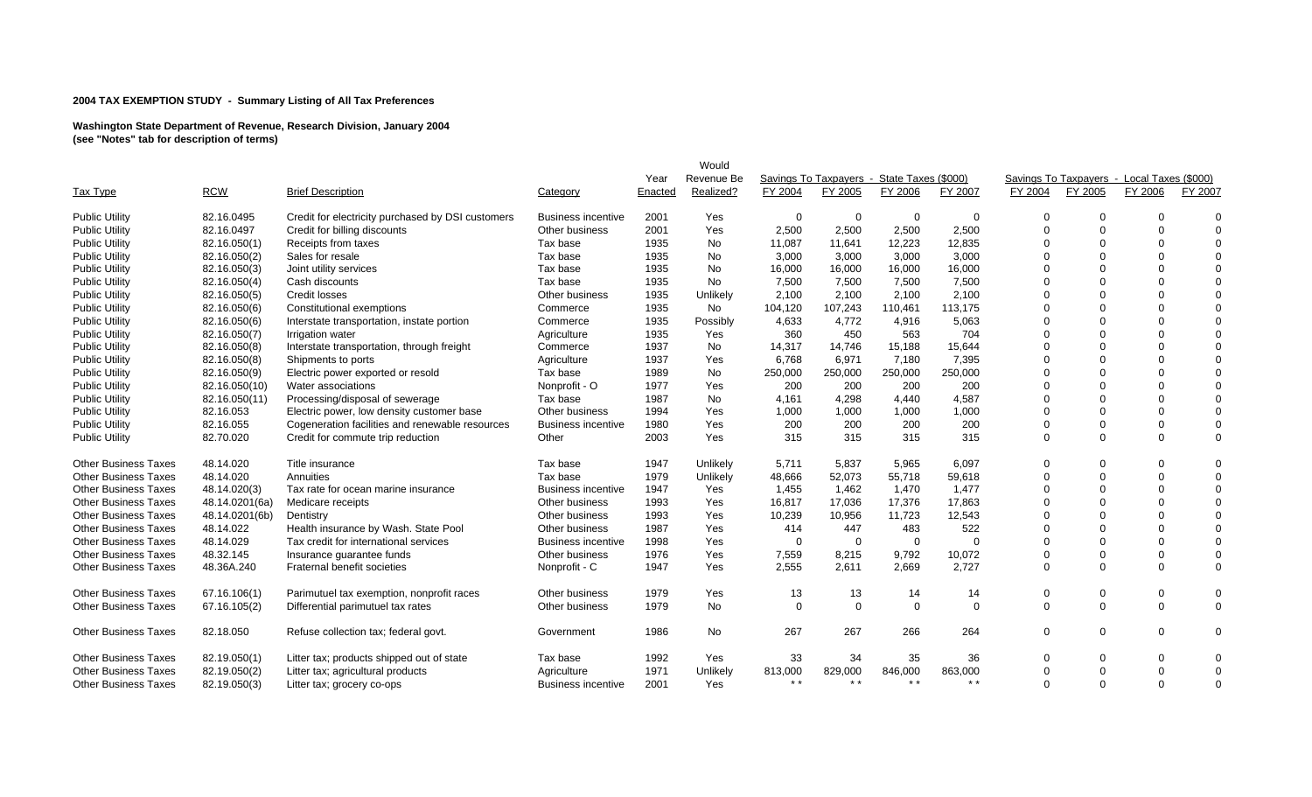|                             |                |                                                   |                           |         | Would      |          |                                            |                 |             |          |                                            |                |          |
|-----------------------------|----------------|---------------------------------------------------|---------------------------|---------|------------|----------|--------------------------------------------|-----------------|-------------|----------|--------------------------------------------|----------------|----------|
|                             |                |                                                   |                           | Year    | Revenue Be |          | Savings To Taxpayers - State Taxes (\$000) |                 |             |          | Savings To Taxpayers - Local Taxes (\$000) |                |          |
| Tax Type                    | <b>RCW</b>     | <b>Brief Description</b>                          | Category                  | Enacted | Realized?  | FY 2004  | FY 2005                                    | FY 2006         | FY 2007     | FY 2004  | FY 2005                                    | FY 2006        | FY 2007  |
| <b>Public Utility</b>       | 82.16.0495     | Credit for electricity purchased by DSI customers | <b>Business incentive</b> | 2001    | Yes        | 0        | 0                                          | $\mathbf 0$     | $\mathbf 0$ | $\Omega$ |                                            | $\Omega$       | $\Omega$ |
| <b>Public Utility</b>       | 82.16.0497     | Credit for billing discounts                      | Other business            | 2001    | Yes        | 2,500    | 2,500                                      | 2,500           | 2,500       | $\Omega$ | $\Omega$                                   | $\mathbf 0$    | $\Omega$ |
| <b>Public Utility</b>       | 82.16.050(1)   | Receipts from taxes                               | Tax base                  | 1935    | No         | 11,087   | 11,641                                     | 12,223          | 12,835      |          |                                            | $\mathbf 0$    | $\Omega$ |
| <b>Public Utility</b>       | 82.16.050(2)   | Sales for resale                                  | Tax base                  | 1935    | No         | 3,000    | 3,000                                      | 3,000           | 3,000       |          |                                            | $\Omega$       | $\Omega$ |
| <b>Public Utility</b>       | 82.16.050(3)   | Joint utility services                            | Tax base                  | 1935    | No         | 16,000   | 16,000                                     | 16,000          | 16,000      | ∩        | $\Omega$                                   | $\Omega$       | $\Omega$ |
| <b>Public Utility</b>       | 82.16.050(4)   | Cash discounts                                    | Tax base                  | 1935    | No         | 7,500    | 7,500                                      | 7,500           | 7,500       |          |                                            | $\Omega$       | $\Omega$ |
| <b>Public Utility</b>       | 82.16.050(5)   | <b>Credit losses</b>                              | Other business            | 1935    | Unlikely   | 2,100    | 2,100                                      | 2.100           | 2.100       |          |                                            | $\overline{0}$ | $\Omega$ |
| <b>Public Utility</b>       | 82.16.050(6)   | Constitutional exemptions                         | Commerce                  | 1935    | No         | 104,120  | 107,243                                    | 110,461         | 113,175     |          |                                            | $\mathbf 0$    | $\Omega$ |
| <b>Public Utility</b>       | 82.16.050(6)   | Interstate transportation, instate portion        | Commerce                  | 1935    | Possibly   | 4,633    | 4,772                                      | 4,916           | 5,063       |          |                                            | $\Omega$       | $\Omega$ |
| <b>Public Utility</b>       | 82.16.050(7)   | Irrigation water                                  | Agriculture               | 1935    | Yes        | 360      | 450                                        | 563             | 704         |          |                                            | $\Omega$       | $\Omega$ |
| <b>Public Utility</b>       | 82.16.050(8)   | Interstate transportation, through freight        | Commerce                  | 1937    | No         | 14,317   | 14,746                                     | 15,188          | 15,644      | $\Omega$ |                                            | $\Omega$       | $\Omega$ |
| <b>Public Utility</b>       | 82.16.050(8)   | Shipments to ports                                | Agriculture               | 1937    | Yes        | 6,768    | 6,971                                      | 7,180           | 7,395       | 0        |                                            | $\Omega$       | $\Omega$ |
| <b>Public Utility</b>       | 82.16.050(9)   | Electric power exported or resold                 | Tax base                  | 1989    | No         | 250,000  | 250,000                                    | 250,000         | 250,000     |          |                                            | $\mathbf 0$    | $\Omega$ |
| <b>Public Utility</b>       | 82.16.050(10)  | Water associations                                | Nonprofit - O             | 1977    | Yes        | 200      | 200                                        | 200             | 200         |          |                                            | $\Omega$       | $\Omega$ |
| <b>Public Utility</b>       | 82.16.050(11)  | Processing/disposal of sewerage                   | Tax base                  | 1987    | No         | 4,161    | 4,298                                      | 4,440           | 4,587       | ∩        |                                            | 0              | $\Omega$ |
| <b>Public Utility</b>       | 82.16.053      | Electric power, low density customer base         | Other business            | 1994    | Yes        | 1,000    | 1,000                                      | 1,000           | 1,000       | ∩        |                                            | $\mathbf 0$    | $\Omega$ |
| <b>Public Utility</b>       | 82.16.055      | Cogeneration facilities and renewable resources   | <b>Business incentive</b> | 1980    | Yes        | 200      | 200                                        | 200             | 200         | $\Omega$ | $\Omega$                                   | $\Omega$       | $\Omega$ |
| <b>Public Utility</b>       | 82.70.020      | Credit for commute trip reduction                 | Other                     | 2003    | Yes        | 315      | 315                                        | 315             | 315         | $\Omega$ | $\Omega$                                   | $\Omega$       | $\Omega$ |
| <b>Other Business Taxes</b> | 48.14.020      | Title insurance                                   | Tax base                  | 1947    | Unlikely   | 5,711    | 5,837                                      | 5,965           | 6,097       | $\Omega$ |                                            | $\mathbf 0$    | $\Omega$ |
| <b>Other Business Taxes</b> | 48.14.020      | Annuities                                         | Tax base                  | 1979    | Unlikely   | 48,666   | 52,073                                     | 55,718          | 59,618      | $\Omega$ | $\Omega$                                   | $\mathbf 0$    | $\Omega$ |
| <b>Other Business Taxes</b> | 48.14.020(3)   | Tax rate for ocean marine insurance               | <b>Business incentive</b> | 1947    | Yes        | 1,455    | 1,462                                      | 1,470           | 1,477       |          |                                            | $\Omega$       | $\Omega$ |
| <b>Other Business Taxes</b> | 48.14.0201(6a) | Medicare receipts                                 | Other business            | 1993    | Yes        | 16,817   | 17,036                                     | 17,376          | 17,863      | ∩        |                                            | $\Omega$       | $\Omega$ |
| <b>Other Business Taxes</b> | 48.14.0201(6b) | Dentistry                                         | Other business            | 1993    | Yes        | 10,239   | 10,956                                     | 11,723          | 12,543      | U        |                                            | $\mathbf 0$    | $\Omega$ |
| <b>Other Business Taxes</b> | 48.14.022      | Health insurance by Wash. State Pool              | Other business            | 1987    | Yes        | 414      | 447                                        | 483             | 522         |          |                                            | $\Omega$       | $\Omega$ |
| <b>Other Business Taxes</b> | 48.14.029      | Tax credit for international services             | <b>Business incentive</b> | 1998    | Yes        | $\Omega$ | 0                                          | $\mathbf 0$     | $\Omega$    |          |                                            | $\Omega$       | $\Omega$ |
| <b>Other Business Taxes</b> | 48.32.145      | Insurance guarantee funds                         | Other business            | 1976    | Yes        | 7,559    | 8,215                                      | 9,792           | 10,072      | $\Omega$ | $\Omega$                                   | $\mathbf 0$    | $\Omega$ |
| <b>Other Business Taxes</b> | 48.36A.240     | Fraternal benefit societies                       | Nonprofit - C             | 1947    | Yes        | 2,555    | 2,611                                      | 2,669           | 2,727       | $\Omega$ |                                            | $\Omega$       | $\Omega$ |
| <b>Other Business Taxes</b> | 67.16.106(1)   | Parimutuel tax exemption, nonprofit races         | Other business            | 1979    | Yes        | 13       | 13                                         | 14              | 14          | 0        |                                            | 0              | $\Omega$ |
| <b>Other Business Taxes</b> | 67.16.105(2)   | Differential parimutuel tax rates                 | Other business            | 1979    | No         | $\Omega$ | $\Omega$                                   | $\Omega$        | $\Omega$    | $\Omega$ | $\Omega$                                   | $\Omega$       | $\Omega$ |
| <b>Other Business Taxes</b> | 82.18.050      | Refuse collection tax; federal govt.              | Government                | 1986    | No         | 267      | 267                                        | 266             | 264         | $\Omega$ | $\Omega$                                   | $\Omega$       | $\Omega$ |
| <b>Other Business Taxes</b> | 82.19.050(1)   | Litter tax; products shipped out of state         | Tax base                  | 1992    | Yes        | 33       | 34                                         | 35              | 36          | $\Omega$ | $\Omega$                                   | $\mathbf 0$    | $\Omega$ |
| <b>Other Business Taxes</b> | 82.19.050(2)   | Litter tax; agricultural products                 | Agriculture               | 1971    | Unlikely   | 813,000  | 829,000                                    | 846,000         | 863,000     | $\Omega$ | $\Omega$                                   | $\mathbf 0$    | $\Omega$ |
| <b>Other Business Taxes</b> | 82.19.050(3)   | Litter tax; grocery co-ops                        | <b>Business incentive</b> | 2001    | Yes        | $* *$    | $* *$                                      | $\star$ $\star$ | $* *$       | $\Omega$ | $\Omega$                                   | $\Omega$       | $\Omega$ |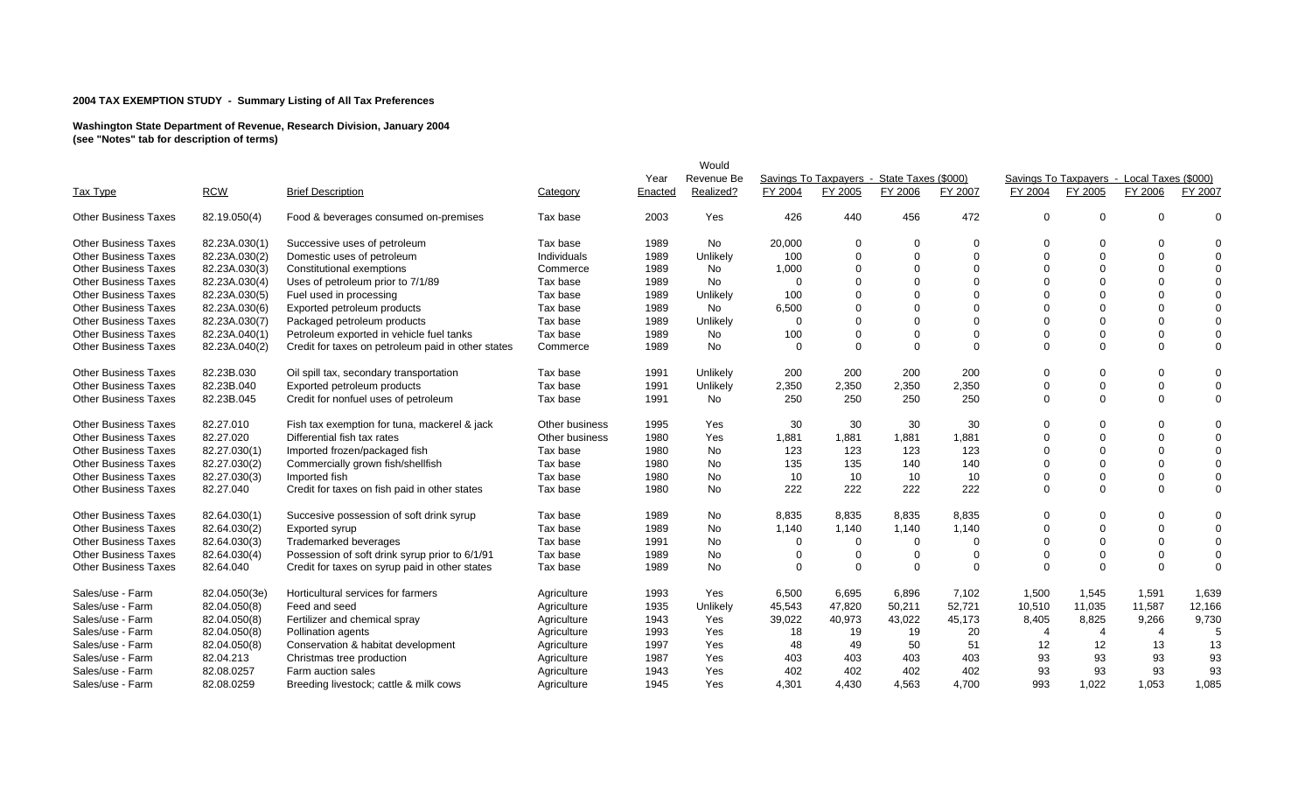|                             |               |                                                    |                |         | Would      |             |          |                                            |             |                |                                            |             |             |
|-----------------------------|---------------|----------------------------------------------------|----------------|---------|------------|-------------|----------|--------------------------------------------|-------------|----------------|--------------------------------------------|-------------|-------------|
|                             |               |                                                    |                | Year    | Revenue Be |             |          | Savings To Taxpayers - State Taxes (\$000) |             |                | Savings To Taxpavers - Local Taxes (\$000) |             |             |
| <b>Tax Type</b>             | <b>RCW</b>    | <b>Brief Description</b>                           | Category       | Enacted | Realized?  | FY 2004     | FY 2005  | FY 2006                                    | FY 2007     | FY 2004        | FY 2005                                    | FY 2006     | FY 2007     |
| <b>Other Business Taxes</b> | 82.19.050(4)  | Food & beverages consumed on-premises              | Tax base       | 2003    | Yes        | 426         | 440      | 456                                        | 472         | $\Omega$       | $\Omega$                                   | $\Omega$    | $\Omega$    |
| <b>Other Business Taxes</b> | 82.23A.030(1) | Successive uses of petroleum                       | Tax base       | 1989    | No         | 20,000      | $\Omega$ | $\Omega$                                   | $\mathbf 0$ | $\Omega$       | $\Omega$                                   | $\Omega$    | $\Omega$    |
| <b>Other Business Taxes</b> | 82.23A.030(2) | Domestic uses of petroleum                         | Individuals    | 1989    | Unlikely   | 100         | $\Omega$ | $\Omega$                                   | $\Omega$    | $\Omega$       | $\Omega$                                   | $\Omega$    | $\Omega$    |
| <b>Other Business Taxes</b> | 82.23A.030(3) | Constitutional exemptions                          | Commerce       | 1989    | <b>No</b>  | 1,000       | $\Omega$ | $\Omega$                                   | $\Omega$    | $\Omega$       | $\Omega$                                   | $\Omega$    | $\Omega$    |
| <b>Other Business Taxes</b> | 82.23A.030(4) | Uses of petroleum prior to 7/1/89                  | Tax base       | 1989    | <b>No</b>  | $\mathbf 0$ | $\Omega$ | $\Omega$                                   | $\Omega$    |                | $\Omega$                                   | $\Omega$    | $\mathbf 0$ |
| <b>Other Business Taxes</b> | 82.23A.030(5) | Fuel used in processing                            | Tax base       | 1989    | Unlikely   | 100         | $\Omega$ | $\Omega$                                   | $\Omega$    |                | $\Omega$                                   | $\Omega$    | $\mathbf 0$ |
| <b>Other Business Taxes</b> | 82.23A.030(6) | Exported petroleum products                        | Tax base       | 1989    | No         | 6,500       | $\Omega$ | $\Omega$                                   | $\Omega$    |                | $\Omega$                                   | $\Omega$    | $\mathbf 0$ |
| <b>Other Business Taxes</b> | 82.23A.030(7) | Packaged petroleum products                        | Tax base       | 1989    | Unlikely   | $\Omega$    | $\Omega$ | $\Omega$                                   | $\Omega$    |                | $\Omega$                                   | $\Omega$    | 0           |
| <b>Other Business Taxes</b> | 82.23A.040(1) | Petroleum exported in vehicle fuel tanks           | Tax base       | 1989    | No         | 100         | $\Omega$ | $\Omega$                                   | $\Omega$    |                | $\Omega$                                   | $\Omega$    | $\mathbf 0$ |
| <b>Other Business Taxes</b> | 82.23A.040(2) | Credit for taxes on petroleum paid in other states | Commerce       | 1989    | No         | $\Omega$    | $\Omega$ | $\Omega$                                   | $\Omega$    | $\Omega$       | $\Omega$                                   | $\Omega$    | $\mathbf 0$ |
| <b>Other Business Taxes</b> | 82.23B.030    | Oil spill tax, secondary transportation            | Tax base       | 1991    | Unlikely   | 200         | 200      | 200                                        | 200         | $\Omega$       | $\Omega$                                   | $\Omega$    | $\Omega$    |
| <b>Other Business Taxes</b> | 82.23B.040    | Exported petroleum products                        | Tax base       | 1991    | Unlikely   | 2,350       | 2,350    | 2,350                                      | 2,350       | $\Omega$       | $\Omega$                                   | $\mathbf 0$ | $\mathbf 0$ |
| <b>Other Business Taxes</b> | 82.23B.045    | Credit for nonfuel uses of petroleum               | Tax base       | 1991    | No         | 250         | 250      | 250                                        | 250         | $\Omega$       | $\Omega$                                   | $\Omega$    | $\Omega$    |
| <b>Other Business Taxes</b> | 82.27.010     | Fish tax exemption for tuna, mackerel & jack       | Other business | 1995    | Yes        | 30          | 30       | 30                                         | 30          | $\Omega$       | $\Omega$                                   | $\Omega$    | $\Omega$    |
| <b>Other Business Taxes</b> | 82.27.020     | Differential fish tax rates                        | Other business | 1980    | Yes        | 1,881       | 1,881    | 1,881                                      | 1,881       | $\Omega$       | $\Omega$                                   | $\Omega$    | $\Omega$    |
| <b>Other Business Taxes</b> | 82.27.030(1)  | Imported frozen/packaged fish                      | Tax base       | 1980    | No         | 123         | 123      | 123                                        | 123         |                | $\Omega$                                   | $\Omega$    | $\Omega$    |
| <b>Other Business Taxes</b> | 82.27.030(2)  | Commercially grown fish/shellfish                  | Tax base       | 1980    | No         | 135         | 135      | 140                                        | 140         | $\Omega$       | $\Omega$                                   | $\Omega$    | $\mathbf 0$ |
| <b>Other Business Taxes</b> | 82.27.030(3)  | Imported fish                                      | Tax base       | 1980    | No         | 10          | 10       | 10                                         | 10          | $\Omega$       | $\Omega$                                   | $\Omega$    | $\mathbf 0$ |
| <b>Other Business Taxes</b> | 82.27.040     | Credit for taxes on fish paid in other states      | Tax base       | 1980    | No         | 222         | 222      | 222                                        | 222         | $\Omega$       | $\Omega$                                   | $\Omega$    | $\mathbf 0$ |
| <b>Other Business Taxes</b> | 82.64.030(1)  | Succesive possession of soft drink syrup           | Tax base       | 1989    | No         | 8,835       | 8,835    | 8,835                                      | 8,835       | $\Omega$       | $\Omega$                                   | $\Omega$    | $\Omega$    |
| <b>Other Business Taxes</b> | 82.64.030(2)  | Exported syrup                                     | Tax base       | 1989    | No         | 1,140       | 1,140    | 1,140                                      | 1,140       | $\Omega$       | $\Omega$                                   | $\Omega$    | $\mathbf 0$ |
| <b>Other Business Taxes</b> | 82.64.030(3)  | Trademarked beverages                              | Tax base       | 1991    | No         | $\Omega$    | $\Omega$ | $\Omega$                                   | $\Omega$    | $\Omega$       | $\Omega$                                   | $\Omega$    | $\mathbf 0$ |
| <b>Other Business Taxes</b> | 82.64.030(4)  | Possession of soft drink syrup prior to 6/1/91     | Tax base       | 1989    | No         | $\Omega$    | $\Omega$ | $\Omega$                                   | $\Omega$    | $\Omega$       | $\Omega$                                   | $\Omega$    | $\mathbf 0$ |
| <b>Other Business Taxes</b> | 82.64.040     | Credit for taxes on syrup paid in other states     | Tax base       | 1989    | No         | $\Omega$    | $\Omega$ | $\Omega$                                   | $\Omega$    | $\Omega$       | $\Omega$                                   | $\Omega$    | $\Omega$    |
| Sales/use - Farm            | 82.04.050(3e) | Horticultural services for farmers                 | Agriculture    | 1993    | Yes        | 6,500       | 6,695    | 6,896                                      | 7,102       | 1,500          | 1,545                                      | 1,591       | 1,639       |
| Sales/use - Farm            | 82.04.050(8)  | Feed and seed                                      | Agriculture    | 1935    | Unlikely   | 45,543      | 47,820   | 50,211                                     | 52,721      | 10,510         | 11,035                                     | 11,587      | 12,166      |
| Sales/use - Farm            | 82.04.050(8)  | Fertilizer and chemical spray                      | Agriculture    | 1943    | Yes        | 39,022      | 40,973   | 43,022                                     | 45,173      | 8,405          | 8,825                                      | 9,266       | 9,730       |
| Sales/use - Farm            | 82.04.050(8)  | Pollination agents                                 | Agriculture    | 1993    | Yes        | 18          | 19       | 19                                         | 20          | $\overline{4}$ | 4                                          | 4           | 5           |
| Sales/use - Farm            | 82.04.050(8)  | Conservation & habitat development                 | Agriculture    | 1997    | Yes        | 48          | 49       | 50                                         | 51          | 12             | 12                                         | 13          | 13          |
| Sales/use - Farm            | 82.04.213     | Christmas tree production                          | Agriculture    | 1987    | Yes        | 403         | 403      | 403                                        | 403         | 93             | 93                                         | 93          | 93          |
| Sales/use - Farm            | 82.08.0257    | Farm auction sales                                 | Agriculture    | 1943    | Yes        | 402         | 402      | 402                                        | 402         | 93             | 93                                         | 93          | 93          |
| Sales/use - Farm            | 82.08.0259    | Breeding livestock; cattle & milk cows             | Agriculture    | 1945    | Yes        | 4.301       | 4.430    | 4,563                                      | 4.700       | 993            | 1.022                                      | 1.053       | 1,085       |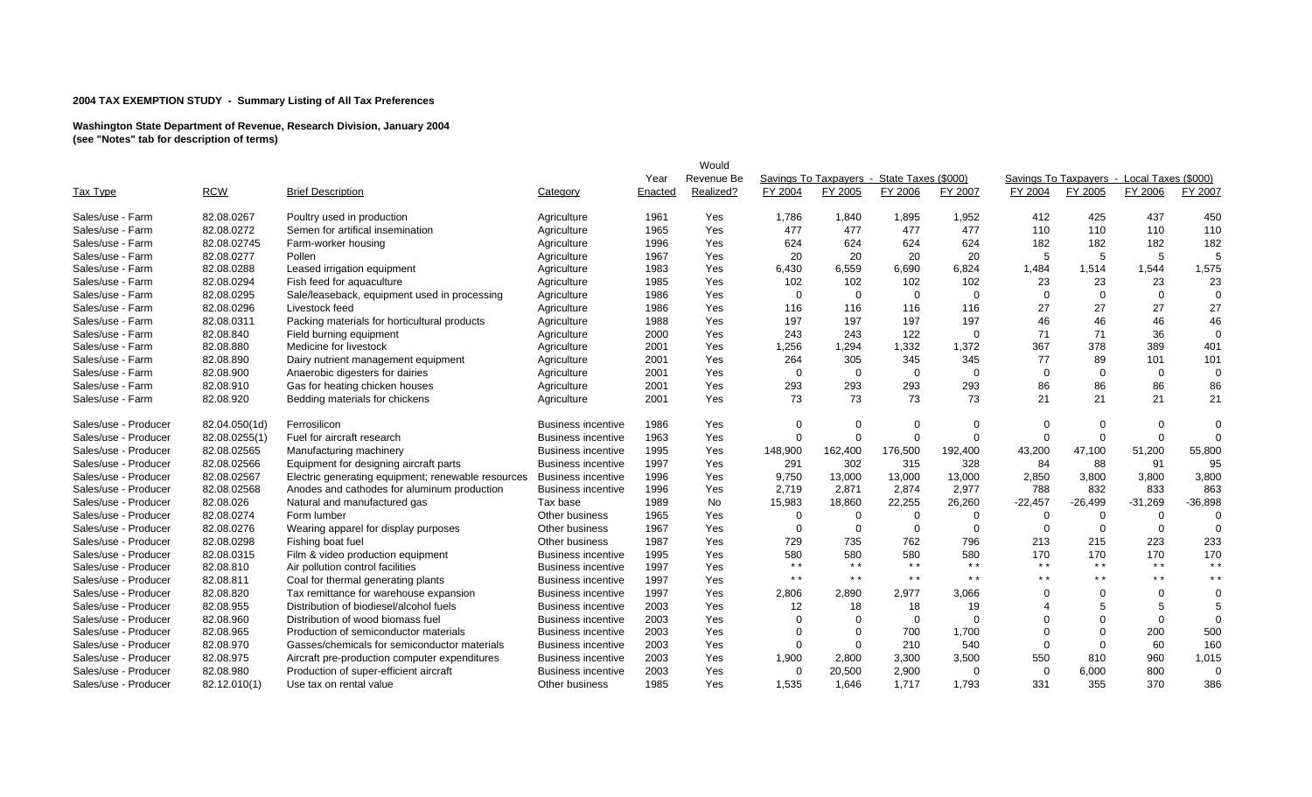|                      |               |                                                    |                           |         | Would      |             |                                            |                 |                 |             |                                            |                 |                 |
|----------------------|---------------|----------------------------------------------------|---------------------------|---------|------------|-------------|--------------------------------------------|-----------------|-----------------|-------------|--------------------------------------------|-----------------|-----------------|
|                      |               |                                                    |                           | Year    | Revenue Be |             | Savings To Taxpavers - State Taxes (\$000) |                 |                 |             | Savings To Taxpavers - Local Taxes (\$000) |                 |                 |
| Tax Type             | <b>RCW</b>    | <b>Brief Description</b>                           | Category                  | Enacted | Realized?  | FY 2004     | FY 2005                                    | FY 2006         | FY 2007         | FY 2004     | FY 2005                                    | FY 2006         | FY 2007         |
| Sales/use - Farm     | 82.08.0267    | Poultry used in production                         | Agriculture               | 1961    | Yes        | 1,786       | 1,840                                      | 1,895           | 1,952           | 412         | 425                                        | 437             | 450             |
| Sales/use - Farm     | 82.08.0272    | Semen for artifical insemination                   | Agriculture               | 1965    | Yes        | 477         | 477                                        | 477             | 477             | 110         | 110                                        | 110             | 110             |
| Sales/use - Farm     | 82.08.02745   | Farm-worker housing                                | Agriculture               | 1996    | Yes        | 624         | 624                                        | 624             | 624             | 182         | 182                                        | 182             | 182             |
| Sales/use - Farm     | 82.08.0277    | Pollen                                             | Agriculture               | 1967    | Yes        | 20          | 20                                         | 20              | 20              | 5           | 5                                          | -5              |                 |
| Sales/use - Farm     | 82.08.0288    | Leased irrigation equipment                        | Agriculture               | 1983    | Yes        | 6,430       | 6,559                                      | 6,690           | 6,824           | 1,484       | 1,514                                      | 1,544           | 1,575           |
| Sales/use - Farm     | 82.08.0294    | Fish feed for aquaculture                          | Agriculture               | 1985    | Yes        | 102         | 102                                        | 102             | 102             | 23          | 23                                         | 23              | 23              |
| Sales/use - Farm     | 82.08.0295    | Sale/leaseback, equipment used in processing       | Agriculture               | 1986    | Yes        | $\mathbf 0$ | $\mathbf 0$                                | $\Omega$        | $\Omega$        | $\Omega$    | $\Omega$                                   | $\mathbf 0$     | $\Omega$        |
| Sales/use - Farm     | 82.08.0296    | Livestock feed                                     | Agriculture               | 1986    | Yes        | 116         | 116                                        | 116             | 116             | 27          | 27                                         | 27              | 27              |
| Sales/use - Farm     | 82.08.0311    | Packing materials for horticultural products       | Agriculture               | 1988    | Yes        | 197         | 197                                        | 197             | 197             | 46          | 46                                         | 46              | 46              |
| Sales/use - Farm     | 82.08.840     | Field burning equipment                            | Agriculture               | 2000    | Yes        | 243         | 243                                        | 122             | $\overline{0}$  | 71          | 71                                         | 36              | $\mathbf 0$     |
| Sales/use - Farm     | 82.08.880     | Medicine for livestock                             | Agriculture               | 2001    | Yes        | 1,256       | 1,294                                      | 1,332           | 1,372           | 367         | 378                                        | 389             | 401             |
| Sales/use - Farm     | 82.08.890     | Dairy nutrient management equipment                | Agriculture               | 2001    | Yes        | 264         | 305                                        | 345             | 345             | 77          | 89                                         | 101             | 101             |
| Sales/use - Farm     | 82.08.900     | Anaerobic digesters for dairies                    | Agriculture               | 2001    | Yes        | $\Omega$    | $\mathbf 0$                                | $\Omega$        | $\overline{0}$  | $\Omega$    | $\Omega$                                   | $\mathbf 0$     | $\Omega$        |
| Sales/use - Farm     | 82.08.910     | Gas for heating chicken houses                     | Agriculture               | 2001    | Yes        | 293         | 293                                        | 293             | 293             | 86          | 86                                         | 86              | 86              |
| Sales/use - Farm     | 82.08.920     | Bedding materials for chickens                     | Agriculture               | 2001    | Yes        | 73          | 73                                         | 73              | 73              | 21          | 21                                         | 21              | 21              |
| Sales/use - Producer | 82.04.050(1d) | Ferrosilicon                                       | <b>Business incentive</b> | 1986    | Yes        | $\Omega$    | $\Omega$                                   | $\Omega$        | $\Omega$        | $\Omega$    | 0                                          | $\Omega$        | $\Omega$        |
| Sales/use - Producer | 82.08.0255(1) | Fuel for aircraft research                         | <b>Business incentive</b> | 1963    | Yes        | $\mathbf 0$ | $\Omega$                                   | $\Omega$        | $\mathbf 0$     | $\mathbf 0$ | $\Omega$                                   | $\mathbf 0$     | $\Omega$        |
| Sales/use - Producer | 82.08.02565   | Manufacturing machinery                            | <b>Business incentive</b> | 1995    | Yes        | 148,900     | 162,400                                    | 176,500         | 192,400         | 43,200      | 47,100                                     | 51,200          | 55,800          |
| Sales/use - Producer | 82.08.02566   | Equipment for designing aircraft parts             | <b>Business incentive</b> | 1997    | Yes        | 291         | 302                                        | 315             | 328             | 84          | 88                                         | 91              | 95              |
| Sales/use - Producer | 82.08.02567   | Electric generating equipment; renewable resources | <b>Business incentive</b> | 1996    | Yes        | 9,750       | 13,000                                     | 13,000          | 13,000          | 2,850       | 3,800                                      | 3,800           | 3,800           |
| Sales/use - Producer | 82.08.02568   | Anodes and cathodes for aluminum production        | <b>Business incentive</b> | 1996    | Yes        | 2,719       | 2,871                                      | 2,874           | 2,977           | 788         | 832                                        | 833             | 863             |
| Sales/use - Producer | 82.08.026     | Natural and manufactured gas                       | Tax base                  | 1989    | <b>No</b>  | 15,983      | 18,860                                     | 22,255          | 26,260          | $-22,457$   | $-26,499$                                  | $-31,269$       | $-36,898$       |
| Sales/use - Producer | 82.08.0274    | Form lumber                                        | Other business            | 1965    | Yes        | $\Omega$    | 0                                          | $\Omega$        | $\Omega$        | 0           | $\Omega$                                   | $\Omega$        | $\Omega$        |
| Sales/use - Producer | 82.08.0276    | Wearing apparel for display purposes               | Other business            | 1967    | Yes        | $\Omega$    | $\Omega$                                   | $\Omega$        | $\Omega$        | $\Omega$    | $\Omega$                                   | $\Omega$        | $\Omega$        |
| Sales/use - Producer | 82.08.0298    | Fishing boat fuel                                  | Other business            | 1987    | Yes        | 729         | 735                                        | 762             | 796             | 213         | 215                                        | 223             | 233             |
| Sales/use - Producer | 82.08.0315    | Film & video production equipment                  | <b>Business incentive</b> | 1995    | Yes        | 580         | 580                                        | 580             | 580             | 170         | 170                                        | 170             | 170             |
| Sales/use - Producer | 82.08.810     | Air pollution control facilities                   | <b>Business incentive</b> | 1997    | Yes        | $* *$       | $* *$                                      | $\star$ $\star$ | $\star$ $\star$ | $* *$       | $* *$                                      | $\star$ $\star$ | $* *$           |
| Sales/use - Producer | 82.08.811     | Coal for thermal generating plants                 | <b>Business incentive</b> | 1997    | Yes        | $* *$       | $* *$                                      | $* *$           | $* *$           | $* *$       | $* *$                                      | $* *$           | $\star$ $\star$ |
| Sales/use - Producer | 82.08.820     | Tax remittance for warehouse expansion             | <b>Business incentive</b> | 1997    | Yes        | 2,806       | 2,890                                      | 2,977           | 3,066           | ∩           |                                            | $\mathbf 0$     | $\mathbf 0$     |
| Sales/use - Producer | 82.08.955     | Distribution of biodiesel/alcohol fuels            | <b>Business incentive</b> | 2003    | Yes        | 12          | 18                                         | 18              | 19              |             |                                            | 5               | 5               |
| Sales/use - Producer | 82.08.960     | Distribution of wood biomass fuel                  | <b>Business incentive</b> | 2003    | Yes        | $\Omega$    | $\Omega$                                   | $\Omega$        | $\Omega$        |             | ∩                                          | $\mathbf 0$     | $\Omega$        |
| Sales/use - Producer | 82.08.965     | Production of semiconductor materials              | <b>Business incentive</b> | 2003    | Yes        | ∩           | $\Omega$                                   | 700             | 1,700           |             | $\Omega$                                   | 200             | 500             |
| Sales/use - Producer | 82.08.970     | Gasses/chemicals for semiconductor materials       | <b>Business incentive</b> | 2003    | Yes        | $\Omega$    | $\Omega$                                   | 210             | 540             | $\Omega$    | $\Omega$                                   | 60              | 160             |
| Sales/use - Producer | 82.08.975     | Aircraft pre-production computer expenditures      | <b>Business incentive</b> | 2003    | Yes        | 1,900       | 2,800                                      | 3,300           | 3,500           | 550         | 810                                        | 960             | 1,015           |
| Sales/use - Producer | 82.08.980     | Production of super-efficient aircraft             | <b>Business incentive</b> | 2003    | Yes        | 0           | 20,500                                     | 2,900           | $\Omega$        | $\Omega$    | 6,000                                      | 800             | $\Omega$        |
| Sales/use - Producer | 82.12.010(1)  | Use tax on rental value                            | Other business            | 1985    | Yes        | 1,535       | 1.646                                      | 1.717           | 1.793           | 331         | 355                                        | 370             | 386             |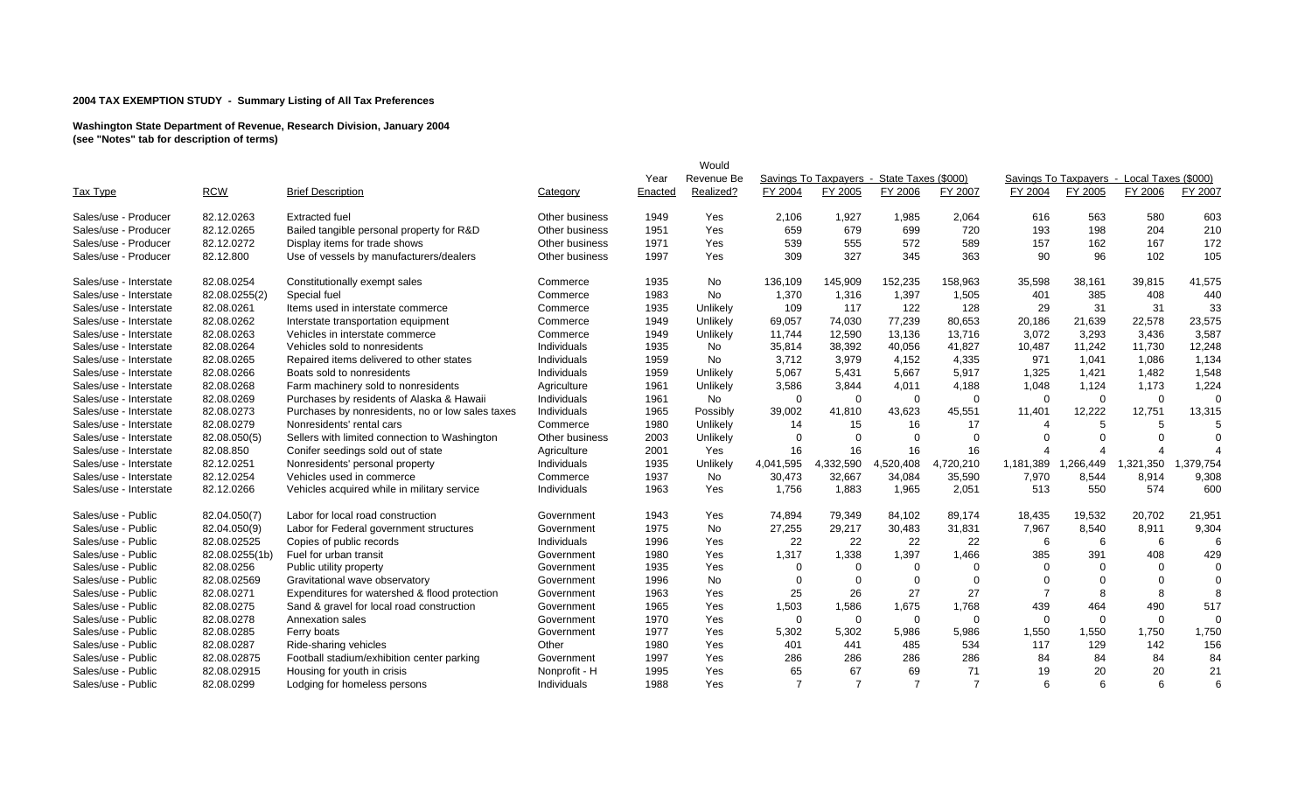|                        |                |                                                  |                |         | Would      |                |                                            |                |                |             |           |                                            |          |
|------------------------|----------------|--------------------------------------------------|----------------|---------|------------|----------------|--------------------------------------------|----------------|----------------|-------------|-----------|--------------------------------------------|----------|
|                        |                |                                                  |                | Year    | Revenue Be |                | Savings To Taxpavers - State Taxes (\$000) |                |                |             |           | Savings To Taxpavers - Local Taxes (\$000) |          |
| <b>Tax Type</b>        | <b>RCW</b>     | <b>Brief Description</b>                         | Category       | Enacted | Realized?  | FY 2004        | FY 2005                                    | FY 2006        | FY 2007        | FY 2004     | FY 2005   | FY 2006                                    | FY 2007  |
| Sales/use - Producer   | 82.12.0263     | <b>Extracted fuel</b>                            | Other business | 1949    | Yes        | 2,106          | 1,927                                      | 1,985          | 2,064          | 616         | 563       | 580                                        | 603      |
| Sales/use - Producer   | 82.12.0265     | Bailed tangible personal property for R&D        | Other business | 1951    | Yes        | 659            | 679                                        | 699            | 720            | 193         | 198       | 204                                        | 210      |
| Sales/use - Producer   | 82.12.0272     | Display items for trade shows                    | Other business | 1971    | Yes        | 539            | 555                                        | 572            | 589            | 157         | 162       | 167                                        | 172      |
| Sales/use - Producer   | 82.12.800      | Use of vessels by manufacturers/dealers          | Other business | 1997    | Yes        | 309            | 327                                        | 345            | 363            | 90          | 96        | 102                                        | 105      |
| Sales/use - Interstate | 82.08.0254     | Constitutionally exempt sales                    | Commerce       | 1935    | <b>No</b>  | 136,109        | 145,909                                    | 152,235        | 158.963        | 35,598      | 38,161    | 39,815                                     | 41,575   |
| Sales/use - Interstate | 82.08.0255(2)  | Special fuel                                     | Commerce       | 1983    | No         | 1,370          | 1,316                                      | 1,397          | 1,505          | 401         | 385       | 408                                        | 440      |
| Sales/use - Interstate | 82.08.0261     | Items used in interstate commerce                | Commerce       | 1935    | Unlikely   | 109            | 117                                        | 122            | 128            | 29          | 31        | 31                                         | 33       |
| Sales/use - Interstate | 82.08.0262     | Interstate transportation equipment              | Commerce       | 1949    | Unlikely   | 69,057         | 74,030                                     | 77,239         | 80,653         | 20,186      | 21,639    | 22,578                                     | 23,575   |
| Sales/use - Interstate | 82.08.0263     | Vehicles in interstate commerce                  | Commerce       | 1949    | Unlikely   | 11,744         | 12,590                                     | 13,136         | 13.716         | 3,072       | 3,293     | 3,436                                      | 3,587    |
| Sales/use - Interstate | 82.08.0264     | Vehicles sold to nonresidents                    | Individuals    | 1935    | No         | 35,814         | 38,392                                     | 40,056         | 41,827         | 10,487      | 11,242    | 11,730                                     | 12,248   |
| Sales/use - Interstate | 82.08.0265     | Repaired items delivered to other states         | Individuals    | 1959    | <b>No</b>  | 3,712          | 3,979                                      | 4,152          | 4,335          | 971         | 1,041     | 1,086                                      | 1,134    |
| Sales/use - Interstate | 82.08.0266     | Boats sold to nonresidents                       | Individuals    | 1959    | Unlikely   | 5,067          | 5,431                                      | 5,667          | 5,917          | 1,325       | 1,421     | 1,482                                      | 1,548    |
| Sales/use - Interstate | 82.08.0268     | Farm machinery sold to nonresidents              | Agriculture    | 1961    | Unlikely   | 3,586          | 3,844                                      | 4,011          | 4,188          | 1,048       | 1,124     | 1,173                                      | 1,224    |
| Sales/use - Interstate | 82.08.0269     | Purchases by residents of Alaska & Hawaii        | Individuals    | 1961    | No         | $\mathbf 0$    | $\Omega$                                   | $\Omega$       | $\mathbf 0$    | $\Omega$    | $\Omega$  | $\Omega$                                   | $\Omega$ |
| Sales/use - Interstate | 82.08.0273     | Purchases by nonresidents, no or low sales taxes | Individuals    | 1965    | Possibly   | 39,002         | 41,810                                     | 43,623         | 45,551         | 11,401      | 12,222    | 12,751                                     | 13,315   |
| Sales/use - Interstate | 82.08.0279     | Nonresidents' rental cars                        | Commerce       | 1980    | Unlikely   | 14             | 15                                         | 16             | 17             | $\Delta$    |           | 5                                          |          |
| Sales/use - Interstate | 82.08.050(5)   | Sellers with limited connection to Washington    | Other business | 2003    | Unlikely   | $\Omega$       | $\Omega$                                   | $\Omega$       | $\Omega$       |             |           | $\Omega$                                   | $\Omega$ |
| Sales/use - Interstate | 82.08.850      | Conifer seedings sold out of state               | Agriculture    | 2001    | Yes        | 16             | 16                                         | 16             | 16             |             |           |                                            |          |
| Sales/use - Interstate | 82.12.0251     | Nonresidents' personal property                  | Individuals    | 1935    | Unlikely   | 4,041,595      | 4,332,590                                  | .520,408<br>4  | 4,720,210      | 1,181,389   | 1.266.449 | 1,321,350                                  | ,379,754 |
| Sales/use - Interstate | 82.12.0254     | Vehicles used in commerce                        | Commerce       | 1937    | No         | 30,473         | 32,667                                     | 34,084         | 35,590         | 7,970       | 8,544     | 8,914                                      | 9,308    |
| Sales/use - Interstate | 82.12.0266     | Vehicles acquired while in military service      | Individuals    | 1963    | Yes        | 1,756          | 1,883                                      | 1,965          | 2,051          | 513         | 550       | 574                                        | 600      |
| Sales/use - Public     | 82.04.050(7)   | Labor for local road construction                | Government     | 1943    | Yes        | 74,894         | 79,349                                     | 84,102         | 89,174         | 18,435      | 19,532    | 20,702                                     | 21,951   |
| Sales/use - Public     | 82.04.050(9)   | Labor for Federal government structures          | Government     | 1975    | No         | 27,255         | 29,217                                     | 30,483         | 31,831         | 7,967       | 8,540     | 8,911                                      | 9,304    |
| Sales/use - Public     | 82.08.02525    | Copies of public records                         | Individuals    | 1996    | Yes        | 22             | 22                                         | 22             | 22             | 6           | 6         | 6                                          | 6        |
| Sales/use - Public     | 82.08.0255(1b) | Fuel for urban transit                           | Government     | 1980    | Yes        | 1,317          | 1,338                                      | 1,397          | 1,466          | 385         | 391       | 408                                        | 429      |
| Sales/use - Public     | 82.08.0256     | Public utility property                          | Government     | 1935    | Yes        | $\Omega$       | $\Omega$                                   | $\Omega$       | $\Omega$       | ∩           |           | $\Omega$                                   | $\Omega$ |
| Sales/use - Public     | 82.08.02569    | Gravitational wave observatory                   | Government     | 1996    | <b>No</b>  | $\Omega$       | $\Omega$                                   | $\Omega$       | $\Omega$       | ∩           | $\Omega$  | $\Omega$                                   | $\Omega$ |
| Sales/use - Public     | 82.08.0271     | Expenditures for watershed & flood protection    | Government     | 1963    | Yes        | 25             | 26                                         | 27             | 27             | 7           | 8         | 8                                          | 8        |
| Sales/use - Public     | 82.08.0275     | Sand & gravel for local road construction        | Government     | 1965    | Yes        | 1,503          | 1,586                                      | 1,675          | 1,768          | 439         | 464       | 490                                        | 517      |
| Sales/use - Public     | 82.08.0278     | Annexation sales                                 | Government     | 1970    | Yes        | $\mathbf 0$    | $\mathbf 0$                                | $\Omega$       | $\mathbf 0$    | $\mathbf 0$ | $\Omega$  | $\Omega$                                   | $\Omega$ |
| Sales/use - Public     | 82.08.0285     | Ferry boats                                      | Government     | 1977    | Yes        | 5,302          | 5,302                                      | 5,986          | 5,986          | 1,550       | 1,550     | 1,750                                      | 1,750    |
| Sales/use - Public     | 82.08.0287     | Ride-sharing vehicles                            | Other          | 1980    | Yes        | 401            | 441                                        | 485            | 534            | 117         | 129       | 142                                        | 156      |
| Sales/use - Public     | 82.08.02875    | Football stadium/exhibition center parking       | Government     | 1997    | Yes        | 286            | 286                                        | 286            | 286            | 84          | 84        | 84                                         | 84       |
| Sales/use - Public     | 82.08.02915    | Housing for youth in crisis                      | Nonprofit - H  | 1995    | Yes        | 65             | 67                                         | 69             | 71             | 19          | 20        | 20                                         | 21       |
| Sales/use - Public     | 82.08.0299     | Lodging for homeless persons                     | Individuals    | 1988    | Yes        | $\overline{7}$ | $\overline{7}$                             | $\overline{7}$ | $\overline{7}$ | 6           | 6         | 6                                          | 6        |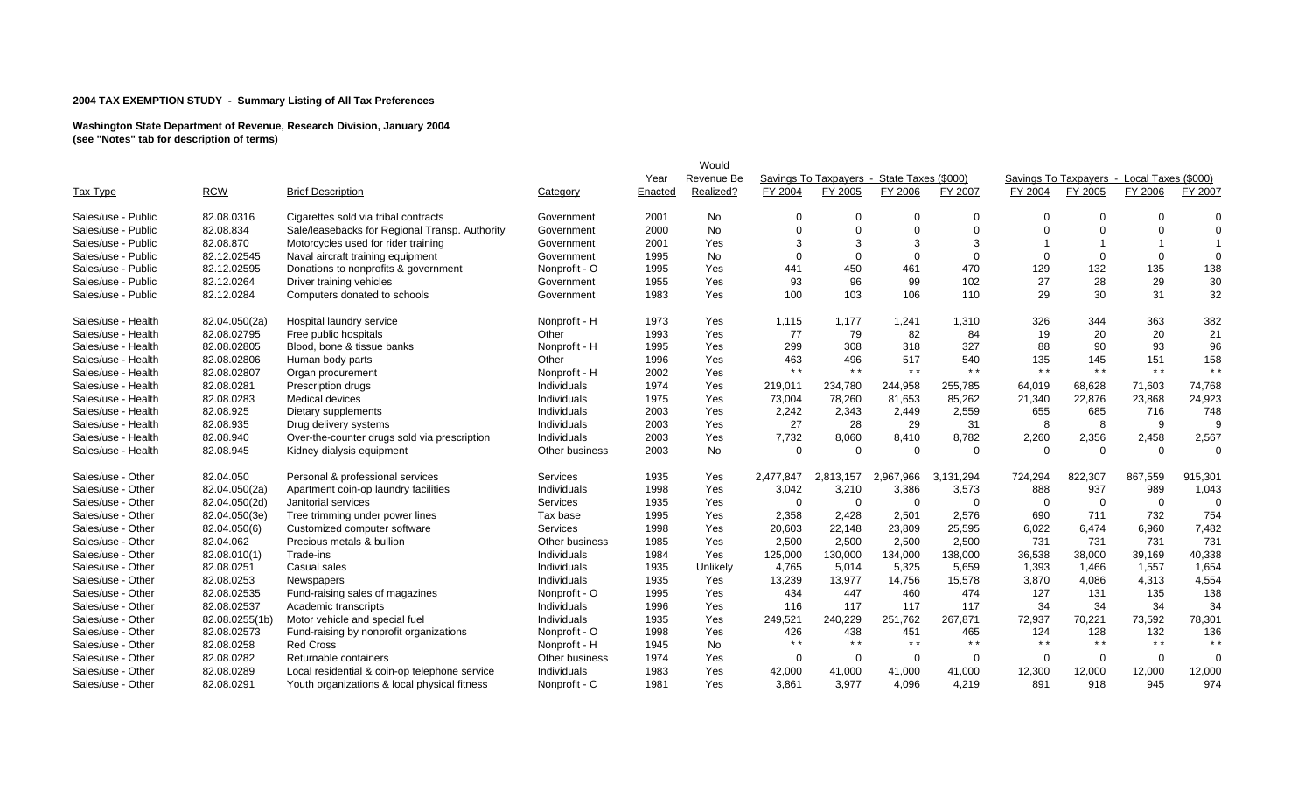|                    |                |                                                |                |         | Would      |              |           |                                            |                |          |          |                                            |          |
|--------------------|----------------|------------------------------------------------|----------------|---------|------------|--------------|-----------|--------------------------------------------|----------------|----------|----------|--------------------------------------------|----------|
|                    |                |                                                |                | Year    | Revenue Be |              |           | Savings To Taxpavers - State Taxes (\$000) |                |          |          | Savings To Taxpayers - Local Taxes (\$000) |          |
| Tax Type           | <b>RCW</b>     | <b>Brief Description</b>                       | Category       | Enacted | Realized?  | FY 2004      | FY 2005   | FY 2006                                    | FY 2007        | FY 2004  | FY 2005  | FY 2006                                    | FY 2007  |
| Sales/use - Public | 82.08.0316     | Cigarettes sold via tribal contracts           | Government     | 2001    | <b>No</b>  | <sup>0</sup> | $\Omega$  |                                            | $\Omega$       | $\Omega$ |          | $\Omega$                                   | $\Omega$ |
| Sales/use - Public | 82.08.834      | Sale/leasebacks for Regional Transp. Authority | Government     | 2000    | No         | $\Omega$     | $\Omega$  | $\Omega$                                   | $\Omega$       | O        |          | $\Omega$                                   | $\Omega$ |
| Sales/use - Public | 82.08.870      | Motorcycles used for rider training            | Government     | 2001    | Yes        | 3            | 3         | 3                                          | 3              |          |          |                                            |          |
| Sales/use - Public | 82.12.02545    | Naval aircraft training equipment              | Government     | 1995    | No         | $\Omega$     | $\Omega$  | $\Omega$                                   | $\mathbf 0$    | $\Omega$ | $\Omega$ | $\mathbf 0$                                | $\Omega$ |
| Sales/use - Public | 82.12.02595    | Donations to nonprofits & government           | Nonprofit - O  | 1995    | Yes        | 441          | 450       | 461                                        | 470            | 129      | 132      | 135                                        | 138      |
| Sales/use - Public | 82.12.0264     | Driver training vehicles                       | Government     | 1955    | Yes        | 93           | 96        | 99                                         | 102            | 27       | 28       | 29                                         | 30       |
| Sales/use - Public | 82.12.0284     | Computers donated to schools                   | Government     | 1983    | Yes        | 100          | 103       | 106                                        | 110            | 29       | 30       | 31                                         | 32       |
| Sales/use - Health | 82.04.050(2a)  | Hospital laundry service                       | Nonprofit - H  | 1973    | Yes        | 1,115        | 1,177     | 1,241                                      | 1,310          | 326      | 344      | 363                                        | 382      |
| Sales/use - Health | 82.08.02795    | Free public hospitals                          | Other          | 1993    | Yes        | 77           | 79        | 82                                         | 84             | 19       | 20       | 20                                         | 21       |
| Sales/use - Health | 82.08.02805    | Blood, bone & tissue banks                     | Nonprofit - H  | 1995    | Yes        | 299          | 308       | 318                                        | 327            | 88       | 90       | 93                                         | 96       |
| Sales/use - Health | 82.08.02806    | Human body parts                               | Other          | 1996    | Yes        | 463          | 496       | 517                                        | 540            | 135      | 145      | 151                                        | 158      |
| Sales/use - Health | 82.08.02807    | Organ procurement                              | Nonprofit - H  | 2002    | Yes        | $* *$        | $* *$     | $* *$                                      | $* *$          | $* *$    | $* *$    | $* *$                                      | $* *$    |
| Sales/use - Health | 82.08.0281     | Prescription drugs                             | Individuals    | 1974    | Yes        | 219,011      | 234,780   | 244,958                                    | 255,785        | 64,019   | 68,628   | 71,603                                     | 74,768   |
| Sales/use - Health | 82.08.0283     | Medical devices                                | Individuals    | 1975    | Yes        | 73,004       | 78,260    | 81,653                                     | 85,262         | 21,340   | 22,876   | 23,868                                     | 24,923   |
| Sales/use - Health | 82.08.925      | Dietary supplements                            | Individuals    | 2003    | Yes        | 2,242        | 2,343     | 2,449                                      | 2,559          | 655      | 685      | 716                                        | 748      |
| Sales/use - Health | 82.08.935      | Drug delivery systems                          | Individuals    | 2003    | Yes        | 27           | 28        | 29                                         | 31             | 8        | 8        | 9                                          | 9        |
| Sales/use - Health | 82.08.940      | Over-the-counter drugs sold via prescription   | Individuals    | 2003    | Yes        | 7,732        | 8,060     | 8,410                                      | 8,782          | 2,260    | 2,356    | 2,458                                      | 2,567    |
| Sales/use - Health | 82.08.945      | Kidney dialysis equipment                      | Other business | 2003    | <b>No</b>  | $\Omega$     | $\Omega$  | $\Omega$                                   | $\Omega$       | $\Omega$ | $\Omega$ | $\Omega$                                   | $\Omega$ |
| Sales/use - Other  | 82.04.050      | Personal & professional services               | Services       | 1935    | Yes        | 2,477,847    | 2,813,157 | 2,967,966                                  | 3,131,294      | 724,294  | 822,307  | 867,559                                    | 915,301  |
| Sales/use - Other  | 82.04.050(2a)  | Apartment coin-op laundry facilities           | Individuals    | 1998    | Yes        | 3,042        | 3,210     | 3,386                                      | 3,573          | 888      | 937      | 989                                        | 1,043    |
| Sales/use - Other  | 82.04.050(2d)  | Janitorial services                            | Services       | 1935    | Yes        | $\Omega$     | $\Omega$  | $\Omega$                                   | $\mathbf 0$    | $\Omega$ | $\Omega$ | $\overline{0}$                             | $\Omega$ |
| Sales/use - Other  | 82.04.050(3e)  | Tree trimming under power lines                | Tax base       | 1995    | Yes        | 2,358        | 2,428     | 2,501                                      | 2,576          | 690      | 711      | 732                                        | 754      |
| Sales/use - Other  | 82.04.050(6)   | Customized computer software                   | Services       | 1998    | Yes        | 20,603       | 22,148    | 23,809                                     | 25,595         | 6,022    | 6,474    | 6,960                                      | 7,482    |
| Sales/use - Other  | 82.04.062      | Precious metals & bullion                      | Other business | 1985    | Yes        | 2,500        | 2,500     | 2,500                                      | 2,500          | 731      | 731      | 731                                        | 731      |
| Sales/use - Other  | 82.08.010(1)   | Trade-ins                                      | Individuals    | 1984    | Yes        | 125,000      | 130,000   | 134,000                                    | 138,000        | 36,538   | 38,000   | 39,169                                     | 40,338   |
| Sales/use - Other  | 82.08.0251     | Casual sales                                   | Individuals    | 1935    | Unlikely   | 4,765        | 5,014     | 5,325                                      | 5,659          | 1,393    | 1,466    | 1,557                                      | 1,654    |
| Sales/use - Other  | 82.08.0253     | Newspapers                                     | Individuals    | 1935    | Yes        | 13,239       | 13,977    | 14,756                                     | 15,578         | 3,870    | 4,086    | 4,313                                      | 4,554    |
| Sales/use - Other  | 82.08.02535    | Fund-raising sales of magazines                | Nonprofit - O  | 1995    | Yes        | 434          | 447       | 460                                        | 474            | 127      | 131      | 135                                        | 138      |
| Sales/use - Other  | 82.08.02537    | Academic transcripts                           | Individuals    | 1996    | Yes        | 116          | 117       | 117                                        | 117            | 34       | 34       | 34                                         | 34       |
| Sales/use - Other  | 82.08.0255(1b) | Motor vehicle and special fuel                 | Individuals    | 1935    | Yes        | 249,521      | 240,229   | 251,762                                    | 267,871        | 72,937   | 70,221   | 73,592                                     | 78,301   |
| Sales/use - Other  | 82.08.02573    | Fund-raising by nonprofit organizations        | Nonprofit - O  | 1998    | Yes        | 426          | 438       | 451                                        | 465            | 124      | 128      | 132                                        | 136      |
| Sales/use - Other  | 82.08.0258     | <b>Red Cross</b>                               | Nonprofit - H  | 1945    | <b>No</b>  | $* *$        | $* *$     | $* *$                                      | $* *$          | $* *$    | $* *$    | $* *$                                      | $* *$    |
| Sales/use - Other  | 82.08.0282     | Returnable containers                          | Other business | 1974    | Yes        | $\Omega$     | $\Omega$  | $\Omega$                                   | $\overline{0}$ | $\Omega$ | $\Omega$ | $\Omega$                                   | $\Omega$ |
| Sales/use - Other  | 82.08.0289     | Local residential & coin-op telephone service  | Individuals    | 1983    | Yes        | 42,000       | 41,000    | 41,000                                     | 41,000         | 12,300   | 12,000   | 12,000                                     | 12,000   |
| Sales/use - Other  | 82.08.0291     | Youth organizations & local physical fitness   | Nonprofit - C  | 1981    | Yes        | 3,861        | 3,977     | 4.096                                      | 4,219          | 891      | 918      | 945                                        | 974      |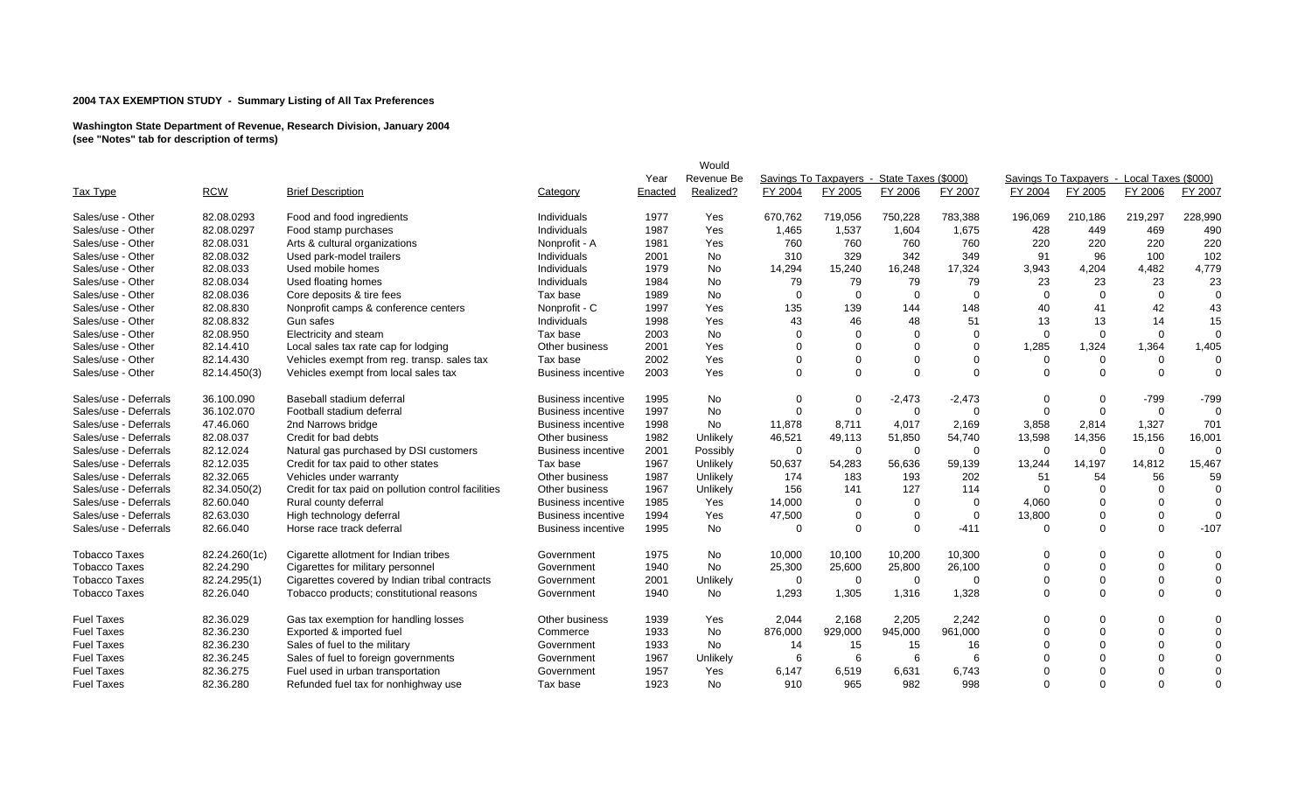|                       |               |                                                     |                           |         | Would      |             |                                            |          |          |             |                                            |                |             |
|-----------------------|---------------|-----------------------------------------------------|---------------------------|---------|------------|-------------|--------------------------------------------|----------|----------|-------------|--------------------------------------------|----------------|-------------|
|                       |               |                                                     |                           | Year    | Revenue Be |             | Savings To Taxpavers - State Taxes (\$000) |          |          |             | Savings To Taxpavers - Local Taxes (\$000) |                |             |
| Tax Type              | <b>RCW</b>    | <b>Brief Description</b>                            | Category                  | Enacted | Realized?  | FY 2004     | FY 2005                                    | FY 2006  | FY 2007  | FY 2004     | FY 2005                                    | FY 2006        | FY 2007     |
| Sales/use - Other     | 82.08.0293    | Food and food ingredients                           | Individuals               | 1977    | Yes        | 670.762     | 719,056                                    | 750,228  | 783,388  | 196.069     | 210,186                                    | 219,297        | 228,990     |
| Sales/use - Other     | 82.08.0297    | Food stamp purchases                                | Individuals               | 1987    | Yes        | 1,465       | 1,537                                      | 1,604    | 1,675    | 428         | 449                                        | 469            | 490         |
| Sales/use - Other     | 82.08.031     | Arts & cultural organizations                       | Nonprofit - A             | 1981    | Yes        | 760         | 760                                        | 760      | 760      | 220         | 220                                        | 220            | 220         |
| Sales/use - Other     | 82.08.032     | Used park-model trailers                            | Individuals               | 2001    | No         | 310         | 329                                        | 342      | 349      | 91          | 96                                         | 100            | 102         |
| Sales/use - Other     | 82.08.033     | Used mobile homes                                   | Individuals               | 1979    | <b>No</b>  | 14,294      | 15,240                                     | 16,248   | 17,324   | 3,943       | 4,204                                      | 4,482          | 4,779       |
| Sales/use - Other     | 82.08.034     | Used floating homes                                 | Individuals               | 1984    | No         | 79          | 79                                         | 79       | 79       | 23          | 23                                         | 23             | 23          |
| Sales/use - Other     | 82.08.036     | Core deposits & tire fees                           | Tax base                  | 1989    | No         | $\Omega$    | $\Omega$                                   | $\Omega$ | $\Omega$ | $\Omega$    | $\Omega$                                   | $\mathbf 0$    | $\Omega$    |
| Sales/use - Other     | 82.08.830     | Nonprofit camps & conference centers                | Nonprofit - C             | 1997    | Yes        | 135         | 139                                        | 144      | 148      | 40          | 41                                         | 42             | 43          |
| Sales/use - Other     | 82.08.832     | Gun safes                                           | Individuals               | 1998    | Yes        | 43          | 46                                         | 48       | 51       | 13          | 13                                         | 14             | 15          |
| Sales/use - Other     | 82.08.950     | Electricity and steam                               | Tax base                  | 2003    | No         | $\Omega$    | $\Omega$                                   |          | $\Omega$ | $\Omega$    | $\Omega$                                   | $\Omega$       | $\Omega$    |
| Sales/use - Other     | 82.14.410     | Local sales tax rate cap for lodging                | Other business            | 2001    | Yes        | $\Omega$    | $\Omega$                                   | $\Omega$ | $\Omega$ | 1,285       | 1,324                                      | 1,364          | 1,405       |
| Sales/use - Other     | 82.14.430     | Vehicles exempt from reg. transp. sales tax         | Tax base                  | 2002    | Yes        | $\Omega$    | $\Omega$                                   | $\Omega$ | $\Omega$ | $\mathbf 0$ | $\Omega$                                   | $\mathbf 0$    | $\Omega$    |
| Sales/use - Other     | 82.14.450(3)  | Vehicles exempt from local sales tax                | <b>Business incentive</b> | 2003    | Yes        | $\Omega$    | $\Omega$                                   | $\Omega$ | $\Omega$ | $\Omega$    | $\mathbf 0$                                | $\overline{0}$ | $\Omega$    |
| Sales/use - Deferrals | 36.100.090    | Baseball stadium deferral                           | <b>Business incentive</b> | 1995    | No         | 0           | $\Omega$                                   | $-2,473$ | $-2,473$ | $\mathbf 0$ | $\mathbf 0$                                | $-799$         | $-799$      |
| Sales/use - Deferrals | 36.102.070    | Football stadium deferral                           | <b>Business incentive</b> | 1997    | No         | $\mathbf 0$ | $\Omega$                                   | $\Omega$ | $\Omega$ | $\mathbf 0$ | $\Omega$                                   | $\mathbf 0$    |             |
| Sales/use - Deferrals | 47.46.060     | 2nd Narrows bridge                                  | <b>Business incentive</b> | 1998    | No         | 11,878      | 8,711                                      | 4,017    | 2,169    | 3,858       | 2,814                                      | 1,327          | 701         |
| Sales/use - Deferrals | 82.08.037     | Credit for bad debts                                | Other business            | 1982    | Unlikely   | 46,521      | 49,113                                     | 51,850   | 54,740   | 13,598      | 14,356                                     | 15,156         | 16,001      |
| Sales/use - Deferrals | 82.12.024     | Natural gas purchased by DSI customers              | <b>Business incentive</b> | 2001    | Possibly   | $\mathbf 0$ | $\Omega$                                   | 0        | $\Omega$ | $\mathbf 0$ | $\Omega$                                   | $\overline{0}$ | $\Omega$    |
| Sales/use - Deferrals | 82.12.035     | Credit for tax paid to other states                 | Tax base                  | 1967    | Unlikely   | 50,637      | 54,283                                     | 56,636   | 59,139   | 13,244      | 14,197                                     | 14,812         | 15,467      |
| Sales/use - Deferrals | 82.32.065     | Vehicles under warranty                             | Other business            | 1987    | Unlikely   | 174         | 183                                        | 193      | 202      | 51          | 54                                         | 56             | 59          |
| Sales/use - Deferrals | 82.34.050(2)  | Credit for tax paid on pollution control facilities | Other business            | 1967    | Unlikely   | 156         | 141                                        | 127      | 114      | $\Omega$    | $\Omega$                                   | $\Omega$       | $\Omega$    |
| Sales/use - Deferrals | 82.60.040     | Rural county deferral                               | <b>Business incentive</b> | 1985    | Yes        | 14,000      | $\Omega$                                   | $\Omega$ | $\Omega$ | 4,060       | $\Omega$                                   | $\Omega$       | $\Omega$    |
| Sales/use - Deferrals | 82.63.030     | High technology deferral                            | <b>Business incentive</b> | 1994    | Yes        | 47,500      | $\Omega$                                   | $\Omega$ | $\Omega$ | 13,800      | $\Omega$                                   | $\mathbf 0$    | $\Omega$    |
| Sales/use - Deferrals | 82.66.040     | Horse race track deferral                           | <b>Business incentive</b> | 1995    | No         | $\Omega$    | $\Omega$                                   | $\Omega$ | $-411$   | $\mathbf 0$ | $\Omega$                                   | $\overline{0}$ | $-107$      |
| <b>Tobacco Taxes</b>  | 82.24.260(1c) | Cigarette allotment for Indian tribes               | Government                | 1975    | No         | 10,000      | 10,100                                     | 10,200   | 10,300   | $\Omega$    | $\Omega$                                   | $\mathbf 0$    | $\Omega$    |
| <b>Tobacco Taxes</b>  | 82.24.290     | Cigarettes for military personnel                   | Government                | 1940    | <b>No</b>  | 25,300      | 25,600                                     | 25,800   | 26,100   | $\Omega$    | $\Omega$                                   | $\overline{0}$ | $\Omega$    |
| <b>Tobacco Taxes</b>  | 82.24.295(1)  | Cigarettes covered by Indian tribal contracts       | Government                | 2001    | Unlikely   | $\mathbf 0$ | $\Omega$                                   | $\Omega$ | $\Omega$ | $\Omega$    | $\Omega$                                   | $\overline{0}$ | $\Omega$    |
| <b>Tobacco Taxes</b>  | 82.26.040     | Tobacco products; constitutional reasons            | Government                | 1940    | No         | 1,293       | 1,305                                      | 1,316    | 1,328    | $\Omega$    | $\Omega$                                   | $\Omega$       | $\Omega$    |
| <b>Fuel Taxes</b>     | 82.36.029     | Gas tax exemption for handling losses               | Other business            | 1939    | Yes        | 2,044       | 2,168                                      | 2,205    | 2,242    | $\Omega$    | $\Omega$                                   | $\Omega$       | $\Omega$    |
| <b>Fuel Taxes</b>     | 82.36.230     | Exported & imported fuel                            | Commerce                  | 1933    | No         | 876,000     | 929,000                                    | 945,000  | 961,000  | $\Omega$    | $\Omega$                                   | $\Omega$       | $\Omega$    |
| <b>Fuel Taxes</b>     | 82.36.230     | Sales of fuel to the military                       | Government                | 1933    | No         | 14          | 15                                         | 15       | 16       |             |                                            | $\Omega$       | $\mathbf 0$ |
| <b>Fuel Taxes</b>     | 82.36.245     | Sales of fuel to foreign governments                | Government                | 1967    | Unlikely   | -6          | 6                                          | 6        | 6        |             |                                            | $\Omega$       |             |
| <b>Fuel Taxes</b>     | 82.36.275     | Fuel used in urban transportation                   | Government                | 1957    | Yes        | 6,147       | 6,519                                      | 6,631    | 6,743    |             | ∩                                          | $\Omega$       |             |
| <b>Fuel Taxes</b>     | 82.36.280     | Refunded fuel tax for nonhighway use                | Tax base                  | 1923    | No.        | 910         | 965                                        | 982      | 998      | $\Omega$    | $\Omega$                                   | $\Omega$       |             |